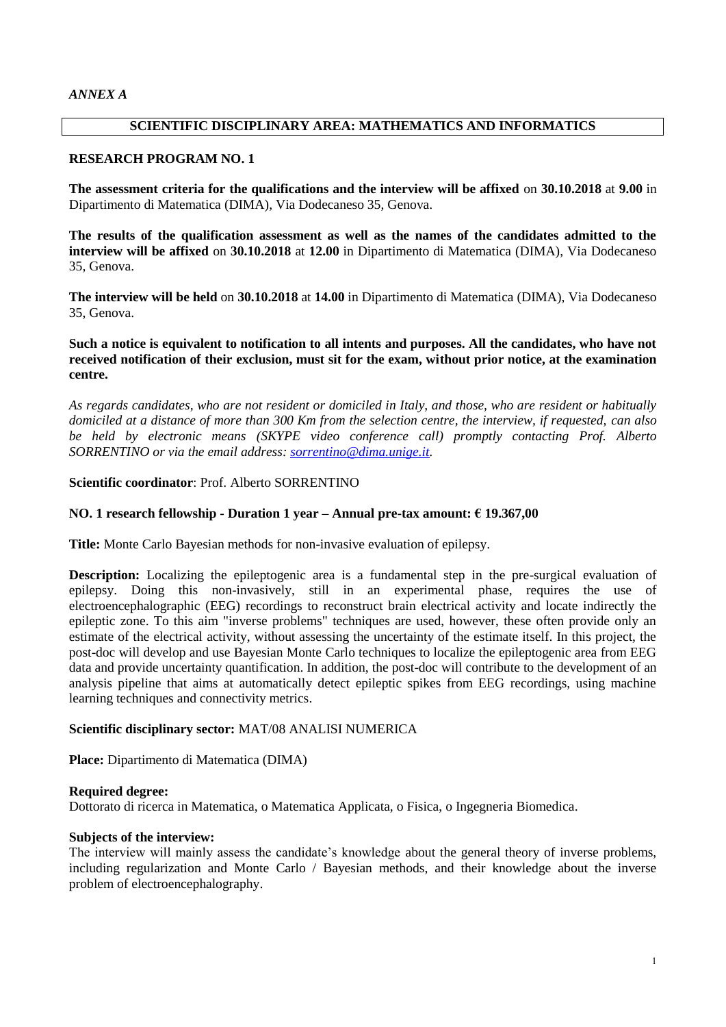## **SCIENTIFIC DISCIPLINARY AREA: MATHEMATICS AND INFORMATICS**

## **RESEARCH PROGRAM NO. 1**

**The assessment criteria for the qualifications and the interview will be affixed** on **30.10.2018** at **9.00** in Dipartimento di Matematica (DIMA), Via Dodecaneso 35, Genova.

**The results of the qualification assessment as well as the names of the candidates admitted to the interview will be affixed** on **30.10.2018** at **12.00** in Dipartimento di Matematica (DIMA), Via Dodecaneso 35, Genova.

**The interview will be held** on **30.10.2018** at **14.00** in Dipartimento di Matematica (DIMA), Via Dodecaneso 35, Genova.

## **Such a notice is equivalent to notification to all intents and purposes. All the candidates, who have not received notification of their exclusion, must sit for the exam, without prior notice, at the examination centre.**

*As regards candidates, who are not resident or domiciled in Italy, and those, who are resident or habitually domiciled at a distance of more than 300 Km from the selection centre, the interview, if requested, can also be held by electronic means (SKYPE video conference call) promptly contacting Prof. Alberto SORRENTINO or via the email address: [sorrentino@dima.unige.it.](mailto:sorrentino@dima.unige.it)*

## **Scientific coordinator**: Prof. Alberto SORRENTINO

## **NO. 1 research fellowship - Duration 1 year – Annual pre-tax amount: € 19.367,00**

**Title:** Monte Carlo Bayesian methods for non-invasive evaluation of epilepsy.

**Description:** Localizing the epileptogenic area is a fundamental step in the pre-surgical evaluation of epilepsy. Doing this non-invasively, still in an experimental phase, requires the use of electroencephalographic (EEG) recordings to reconstruct brain electrical activity and locate indirectly the epileptic zone. To this aim "inverse problems" techniques are used, however, these often provide only an estimate of the electrical activity, without assessing the uncertainty of the estimate itself. In this project, the post-doc will develop and use Bayesian Monte Carlo techniques to localize the epileptogenic area from EEG data and provide uncertainty quantification. In addition, the post-doc will contribute to the development of an analysis pipeline that aims at automatically detect epileptic spikes from EEG recordings, using machine learning techniques and connectivity metrics.

### **Scientific disciplinary sector:** MAT/08 ANALISI NUMERICA

**Place:** Dipartimento di Matematica (DIMA)

#### **Required degree:**

Dottorato di ricerca in Matematica, o Matematica Applicata, o Fisica, o Ingegneria Biomedica.

### **Subjects of the interview:**

The interview will mainly assess the candidate's knowledge about the general theory of inverse problems, including regularization and Monte Carlo / Bayesian methods, and their knowledge about the inverse problem of electroencephalography.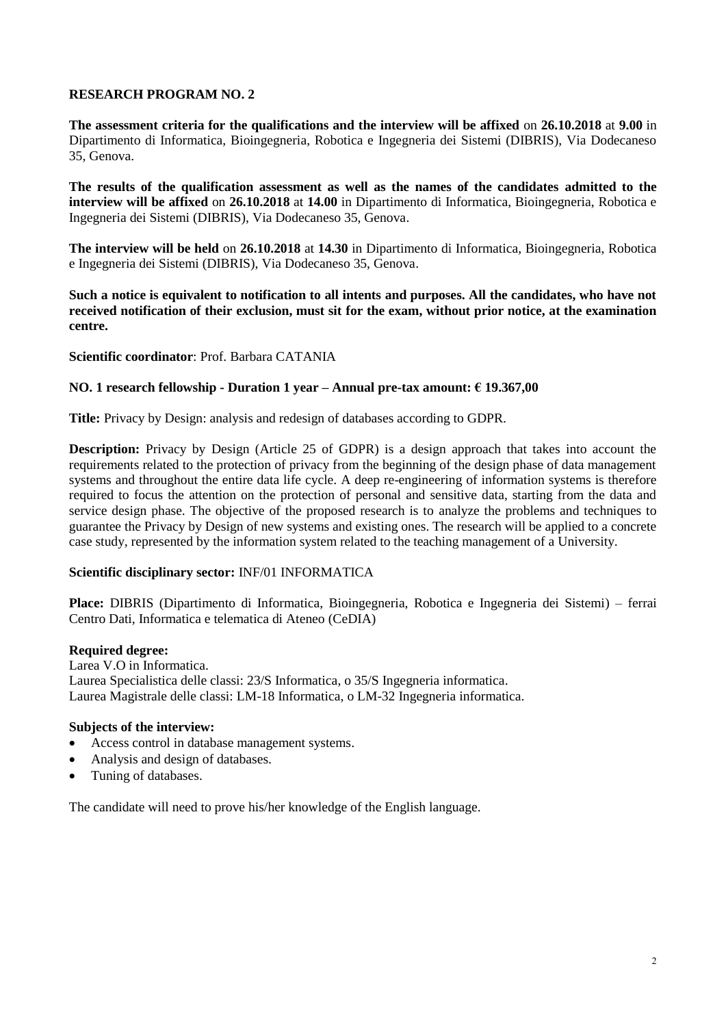**The assessment criteria for the qualifications and the interview will be affixed** on **26.10.2018** at **9.00** in Dipartimento di Informatica, Bioingegneria, Robotica e Ingegneria dei Sistemi (DIBRIS), Via Dodecaneso 35, Genova.

**The results of the qualification assessment as well as the names of the candidates admitted to the interview will be affixed** on **26.10.2018** at **14.00** in Dipartimento di Informatica, Bioingegneria, Robotica e Ingegneria dei Sistemi (DIBRIS), Via Dodecaneso 35, Genova.

**The interview will be held** on **26.10.2018** at **14.30** in Dipartimento di Informatica, Bioingegneria, Robotica e Ingegneria dei Sistemi (DIBRIS), Via Dodecaneso 35, Genova.

**Such a notice is equivalent to notification to all intents and purposes. All the candidates, who have not received notification of their exclusion, must sit for the exam, without prior notice, at the examination centre.**

## **Scientific coordinator**: Prof. Barbara CATANIA

### **NO. 1 research fellowship - Duration 1 year – Annual pre-tax amount: € 19.367,00**

**Title:** Privacy by Design: analysis and redesign of databases according to GDPR.

**Description:** Privacy by Design (Article 25 of GDPR) is a design approach that takes into account the requirements related to the protection of privacy from the beginning of the design phase of data management systems and throughout the entire data life cycle. A deep re-engineering of information systems is therefore required to focus the attention on the protection of personal and sensitive data, starting from the data and service design phase. The objective of the proposed research is to analyze the problems and techniques to guarantee the Privacy by Design of new systems and existing ones. The research will be applied to a concrete case study, represented by the information system related to the teaching management of a University.

## **Scientific disciplinary sector:** INF/01 INFORMATICA

**Place:** DIBRIS (Dipartimento di Informatica, Bioingegneria, Robotica e Ingegneria dei Sistemi) – ferrai Centro Dati, Informatica e telematica di Ateneo (CeDIA)

#### **Required degree:**

Larea V.O in Informatica. Laurea Specialistica delle classi: 23/S Informatica, o 35/S Ingegneria informatica. Laurea Magistrale delle classi: LM-18 Informatica, o LM-32 Ingegneria informatica.

## **Subjects of the interview:**

- Access control in database management systems.
- Analysis and design of databases.
- Tuning of databases.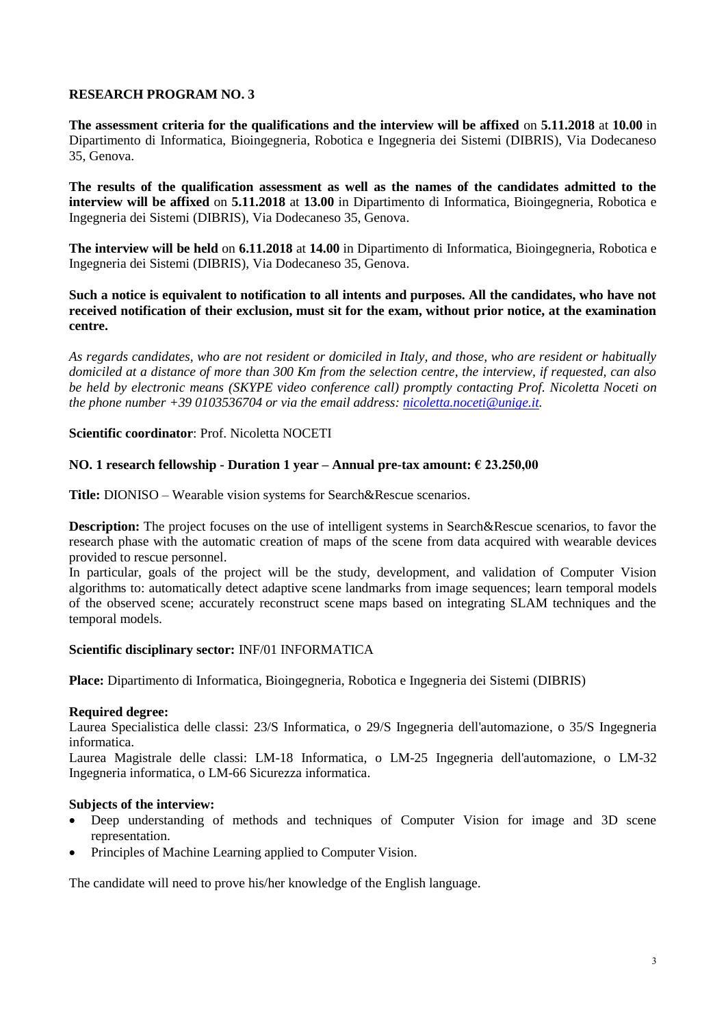**The assessment criteria for the qualifications and the interview will be affixed** on **5.11.2018** at **10.00** in Dipartimento di Informatica, Bioingegneria, Robotica e Ingegneria dei Sistemi (DIBRIS), Via Dodecaneso 35, Genova.

**The results of the qualification assessment as well as the names of the candidates admitted to the interview will be affixed** on **5.11.2018** at **13.00** in Dipartimento di Informatica, Bioingegneria, Robotica e Ingegneria dei Sistemi (DIBRIS), Via Dodecaneso 35, Genova.

**The interview will be held** on **6.11.2018** at **14.00** in Dipartimento di Informatica, Bioingegneria, Robotica e Ingegneria dei Sistemi (DIBRIS), Via Dodecaneso 35, Genova.

### **Such a notice is equivalent to notification to all intents and purposes. All the candidates, who have not received notification of their exclusion, must sit for the exam, without prior notice, at the examination centre.**

*As regards candidates, who are not resident or domiciled in Italy, and those, who are resident or habitually domiciled at a distance of more than 300 Km from the selection centre, the interview, if requested, can also be held by electronic means (SKYPE video conference call) promptly contacting Prof. Nicoletta Noceti on the phone number +39 0103536704 or via the email address: [nicoletta.noceti@unige.it.](mailto:nicoletta.noceti@unige.it)*

## **Scientific coordinator**: Prof. Nicoletta NOCETI

## **NO. 1 research fellowship - Duration 1 year – Annual pre-tax amount: € 23.250,00**

**Title:** DIONISO – Wearable vision systems for Search&Rescue scenarios.

**Description:** The project focuses on the use of intelligent systems in Search&Rescue scenarios, to favor the research phase with the automatic creation of maps of the scene from data acquired with wearable devices provided to rescue personnel.

In particular, goals of the project will be the study, development, and validation of Computer Vision algorithms to: automatically detect adaptive scene landmarks from image sequences; learn temporal models of the observed scene; accurately reconstruct scene maps based on integrating SLAM techniques and the temporal models.

## **Scientific disciplinary sector:** INF/01 INFORMATICA

**Place:** Dipartimento di Informatica, Bioingegneria, Robotica e Ingegneria dei Sistemi (DIBRIS)

## **Required degree:**

Laurea Specialistica delle classi: 23/S Informatica, o 29/S Ingegneria dell'automazione, o 35/S Ingegneria informatica.

Laurea Magistrale delle classi: LM-18 Informatica, o LM-25 Ingegneria dell'automazione, o LM-32 Ingegneria informatica, o LM-66 Sicurezza informatica.

## **Subjects of the interview:**

- Deep understanding of methods and techniques of Computer Vision for image and 3D scene representation.
- Principles of Machine Learning applied to Computer Vision.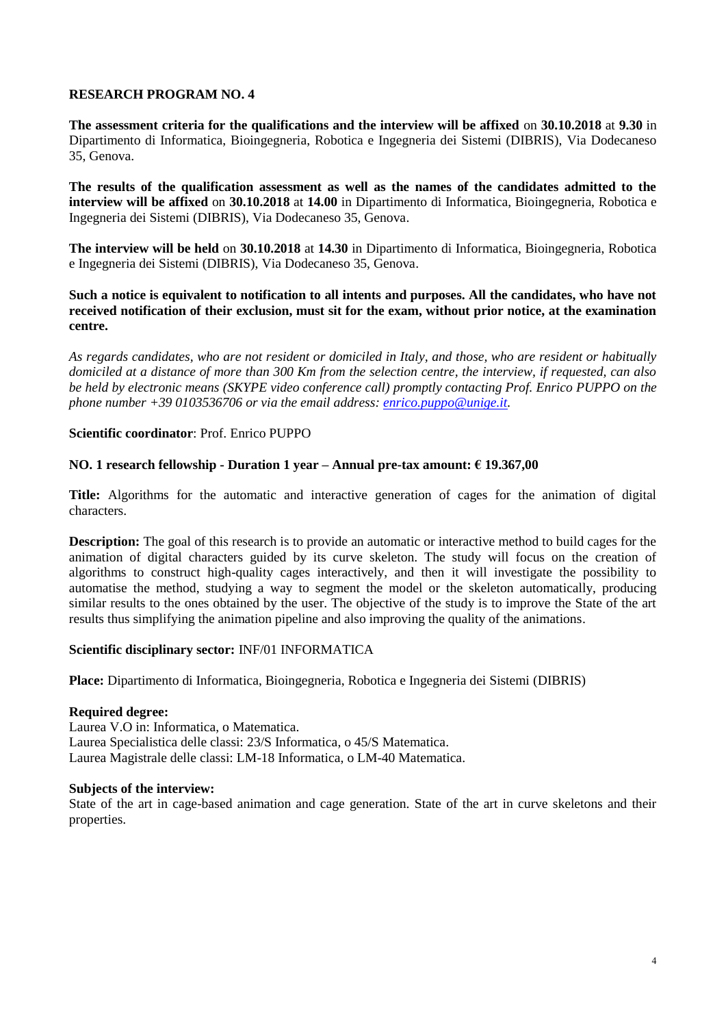**The assessment criteria for the qualifications and the interview will be affixed** on **30.10.2018** at **9.30** in Dipartimento di Informatica, Bioingegneria, Robotica e Ingegneria dei Sistemi (DIBRIS), Via Dodecaneso 35, Genova.

**The results of the qualification assessment as well as the names of the candidates admitted to the interview will be affixed** on **30.10.2018** at **14.00** in Dipartimento di Informatica, Bioingegneria, Robotica e Ingegneria dei Sistemi (DIBRIS), Via Dodecaneso 35, Genova.

**The interview will be held** on **30.10.2018** at **14.30** in Dipartimento di Informatica, Bioingegneria, Robotica e Ingegneria dei Sistemi (DIBRIS), Via Dodecaneso 35, Genova.

## **Such a notice is equivalent to notification to all intents and purposes. All the candidates, who have not received notification of their exclusion, must sit for the exam, without prior notice, at the examination centre.**

*As regards candidates, who are not resident or domiciled in Italy, and those, who are resident or habitually domiciled at a distance of more than 300 Km from the selection centre, the interview, if requested, can also be held by electronic means (SKYPE video conference call) promptly contacting Prof. Enrico PUPPO on the phone number +39 0103536706 or via the email address: [enrico.puppo@unige.it.](mailto:enrico.puppo@unige.it)*

## **Scientific coordinator**: Prof. Enrico PUPPO

## **NO. 1 research fellowship - Duration 1 year – Annual pre-tax amount: € 19.367,00**

**Title:** Algorithms for the automatic and interactive generation of cages for the animation of digital characters.

**Description:** The goal of this research is to provide an automatic or interactive method to build cages for the animation of digital characters guided by its curve skeleton. The study will focus on the creation of algorithms to construct high-quality cages interactively, and then it will investigate the possibility to automatise the method, studying a way to segment the model or the skeleton automatically, producing similar results to the ones obtained by the user. The objective of the study is to improve the State of the art results thus simplifying the animation pipeline and also improving the quality of the animations.

## **Scientific disciplinary sector:** INF/01 INFORMATICA

**Place:** Dipartimento di Informatica, Bioingegneria, Robotica e Ingegneria dei Sistemi (DIBRIS)

#### **Required degree:**

Laurea V.O in: Informatica, o Matematica. Laurea Specialistica delle classi: 23/S Informatica, o 45/S Matematica. Laurea Magistrale delle classi: LM-18 Informatica, o LM-40 Matematica.

#### **Subjects of the interview:**

State of the art in cage-based animation and cage generation. State of the art in curve skeletons and their properties.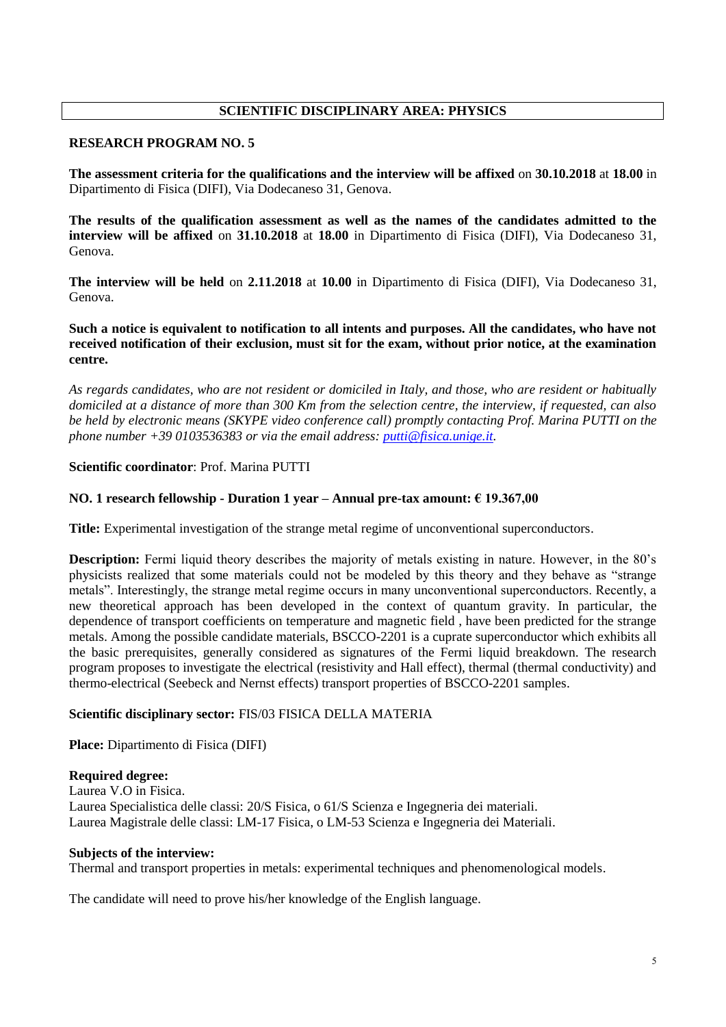# **SCIENTIFIC DISCIPLINARY AREA: PHYSICS**

### **RESEARCH PROGRAM NO. 5**

**The assessment criteria for the qualifications and the interview will be affixed** on **30.10.2018** at **18.00** in Dipartimento di Fisica (DIFI), Via Dodecaneso 31, Genova.

**The results of the qualification assessment as well as the names of the candidates admitted to the interview will be affixed** on **31.10.2018** at **18.00** in Dipartimento di Fisica (DIFI), Via Dodecaneso 31, Genova.

**The interview will be held** on **2.11.2018** at **10.00** in Dipartimento di Fisica (DIFI), Via Dodecaneso 31, Genova.

**Such a notice is equivalent to notification to all intents and purposes. All the candidates, who have not received notification of their exclusion, must sit for the exam, without prior notice, at the examination centre.**

*As regards candidates, who are not resident or domiciled in Italy, and those, who are resident or habitually domiciled at a distance of more than 300 Km from the selection centre, the interview, if requested, can also be held by electronic means (SKYPE video conference call) promptly contacting Prof. Marina PUTTI on the phone number +39 0103536383 or via the email address: [putti@fisica.unige.it.](mailto:putti@fisica.unige.it)*

## **Scientific coordinator**: Prof. Marina PUTTI

### **NO. 1 research fellowship - Duration 1 year – Annual pre-tax amount: € 19.367,00**

**Title:** Experimental investigation of the strange metal regime of unconventional superconductors.

**Description:** Fermi liquid theory describes the majority of metals existing in nature. However, in the 80's physicists realized that some materials could not be modeled by this theory and they behave as "strange metals". Interestingly, the strange metal regime occurs in many unconventional superconductors. Recently, a new theoretical approach has been developed in the context of quantum gravity. In particular, the dependence of transport coefficients on temperature and magnetic field , have been predicted for the strange metals. Among the possible candidate materials, BSCCO-2201 is a cuprate superconductor which exhibits all the basic prerequisites, generally considered as signatures of the Fermi liquid breakdown. The research program proposes to investigate the electrical (resistivity and Hall effect), thermal (thermal conductivity) and thermo-electrical (Seebeck and Nernst effects) transport properties of BSCCO-2201 samples.

## **Scientific disciplinary sector:** FIS/03 FISICA DELLA MATERIA

**Place:** Dipartimento di Fisica (DIFI)

#### **Required degree:**

Laurea V.O in Fisica. Laurea Specialistica delle classi: 20/S Fisica, o 61/S Scienza e Ingegneria dei materiali. Laurea Magistrale delle classi: LM-17 Fisica, o LM-53 Scienza e Ingegneria dei Materiali.

### **Subjects of the interview:**

Thermal and transport properties in metals: experimental techniques and phenomenological models.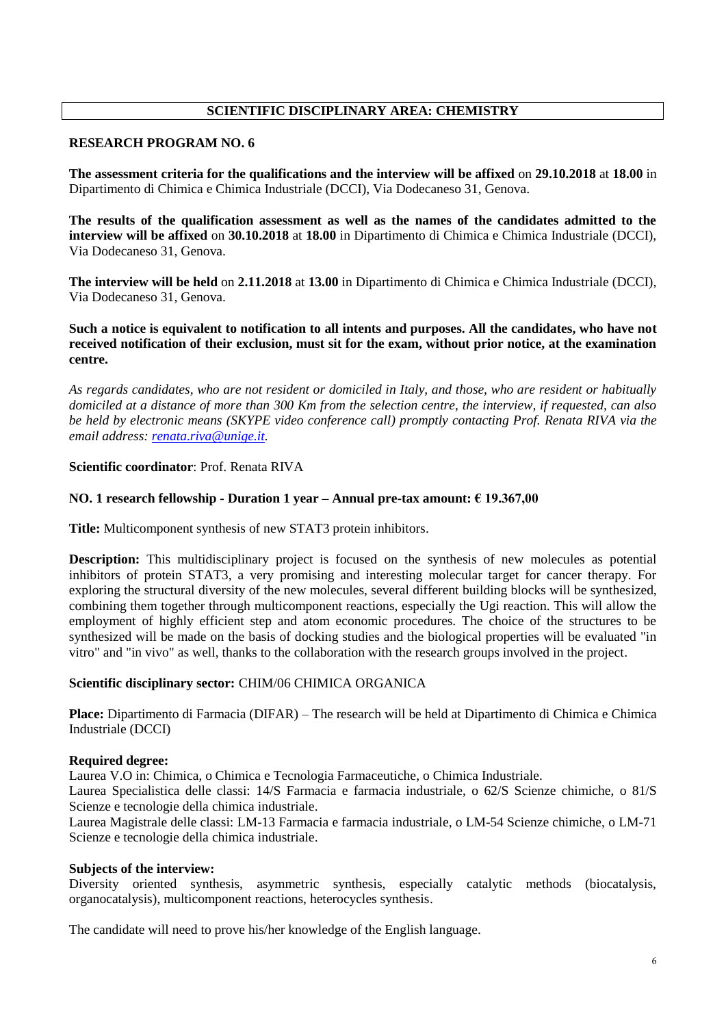# **SCIENTIFIC DISCIPLINARY AREA: CHEMISTRY**

### **RESEARCH PROGRAM NO. 6**

**The assessment criteria for the qualifications and the interview will be affixed** on **29.10.2018** at **18.00** in Dipartimento di Chimica e Chimica Industriale (DCCI), Via Dodecaneso 31, Genova.

**The results of the qualification assessment as well as the names of the candidates admitted to the interview will be affixed** on **30.10.2018** at **18.00** in Dipartimento di Chimica e Chimica Industriale (DCCI), Via Dodecaneso 31, Genova.

**The interview will be held** on **2.11.2018** at **13.00** in Dipartimento di Chimica e Chimica Industriale (DCCI), Via Dodecaneso 31, Genova.

**Such a notice is equivalent to notification to all intents and purposes. All the candidates, who have not received notification of their exclusion, must sit for the exam, without prior notice, at the examination centre.**

*As regards candidates, who are not resident or domiciled in Italy, and those, who are resident or habitually domiciled at a distance of more than 300 Km from the selection centre, the interview, if requested, can also be held by electronic means (SKYPE video conference call) promptly contacting Prof. Renata RIVA via the email address: [renata.riva@unige.it.](mailto:renata.riva@unige.it)* 

## **Scientific coordinator**: Prof. Renata RIVA

### **NO. 1 research fellowship - Duration 1 year – Annual pre-tax amount: € 19.367,00**

**Title:** Multicomponent synthesis of new STAT3 protein inhibitors.

**Description:** This multidisciplinary project is focused on the synthesis of new molecules as potential inhibitors of protein STAT3, a very promising and interesting molecular target for cancer therapy. For exploring the structural diversity of the new molecules, several different building blocks will be synthesized, combining them together through multicomponent reactions, especially the Ugi reaction. This will allow the employment of highly efficient step and atom economic procedures. The choice of the structures to be synthesized will be made on the basis of docking studies and the biological properties will be evaluated "in vitro" and "in vivo" as well, thanks to the collaboration with the research groups involved in the project.

## **Scientific disciplinary sector:** CHIM/06 CHIMICA ORGANICA

**Place:** Dipartimento di Farmacia (DIFAR) – The research will be held at Dipartimento di Chimica e Chimica Industriale (DCCI)

## **Required degree:**

Laurea V.O in: Chimica, o Chimica e Tecnologia Farmaceutiche, o Chimica Industriale.

Laurea Specialistica delle classi: 14/S Farmacia e farmacia industriale, o 62/S Scienze chimiche, o 81/S Scienze e tecnologie della chimica industriale.

Laurea Magistrale delle classi: LM-13 Farmacia e farmacia industriale, o LM-54 Scienze chimiche, o LM-71 Scienze e tecnologie della chimica industriale.

#### **Subjects of the interview:**

Diversity oriented synthesis, asymmetric synthesis, especially catalytic methods (biocatalysis, organocatalysis), multicomponent reactions, heterocycles synthesis.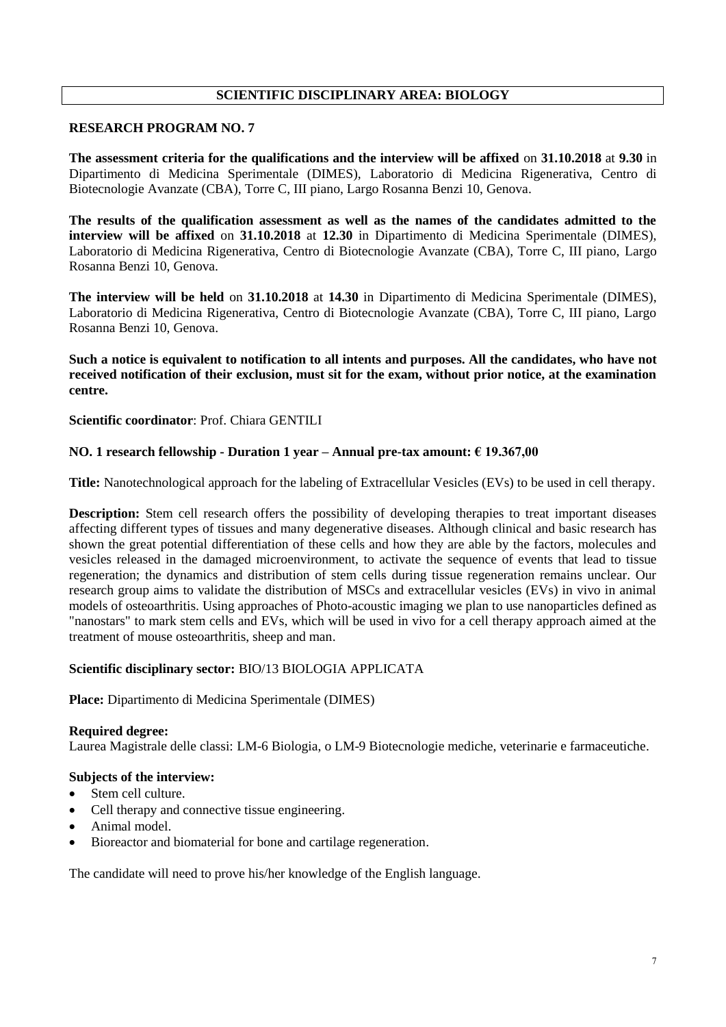# **SCIENTIFIC DISCIPLINARY AREA: BIOLOGY**

### **RESEARCH PROGRAM NO. 7**

**The assessment criteria for the qualifications and the interview will be affixed** on **31.10.2018** at **9.30** in Dipartimento di Medicina Sperimentale (DIMES), Laboratorio di Medicina Rigenerativa, Centro di Biotecnologie Avanzate (CBA), Torre C, III piano, Largo Rosanna Benzi 10, Genova.

**The results of the qualification assessment as well as the names of the candidates admitted to the interview will be affixed** on **31.10.2018** at **12.30** in Dipartimento di Medicina Sperimentale (DIMES), Laboratorio di Medicina Rigenerativa, Centro di Biotecnologie Avanzate (CBA), Torre C, III piano, Largo Rosanna Benzi 10, Genova.

**The interview will be held** on **31.10.2018** at **14.30** in Dipartimento di Medicina Sperimentale (DIMES), Laboratorio di Medicina Rigenerativa, Centro di Biotecnologie Avanzate (CBA), Torre C, III piano, Largo Rosanna Benzi 10, Genova.

**Such a notice is equivalent to notification to all intents and purposes. All the candidates, who have not received notification of their exclusion, must sit for the exam, without prior notice, at the examination centre.**

**Scientific coordinator**: Prof. Chiara GENTILI

## **NO. 1 research fellowship - Duration 1 year – Annual pre-tax amount: € 19.367,00**

**Title:** Nanotechnological approach for the labeling of Extracellular Vesicles (EVs) to be used in cell therapy.

**Description:** Stem cell research offers the possibility of developing therapies to treat important diseases affecting different types of tissues and many degenerative diseases. Although clinical and basic research has shown the great potential differentiation of these cells and how they are able by the factors, molecules and vesicles released in the damaged microenvironment, to activate the sequence of events that lead to tissue regeneration; the dynamics and distribution of stem cells during tissue regeneration remains unclear. Our research group aims to validate the distribution of MSCs and extracellular vesicles (EVs) in vivo in animal models of osteoarthritis. Using approaches of Photo-acoustic imaging we plan to use nanoparticles defined as "nanostars" to mark stem cells and EVs, which will be used in vivo for a cell therapy approach aimed at the treatment of mouse osteoarthritis, sheep and man.

## **Scientific disciplinary sector:** BIO/13 BIOLOGIA APPLICATA

**Place:** Dipartimento di Medicina Sperimentale (DIMES)

#### **Required degree:**

Laurea Magistrale delle classi: LM-6 Biologia, o LM-9 Biotecnologie mediche, veterinarie e farmaceutiche.

## **Subjects of the interview:**

- Stem cell culture.
- Cell therapy and connective tissue engineering.
- Animal model.
- Bioreactor and biomaterial for bone and cartilage regeneration.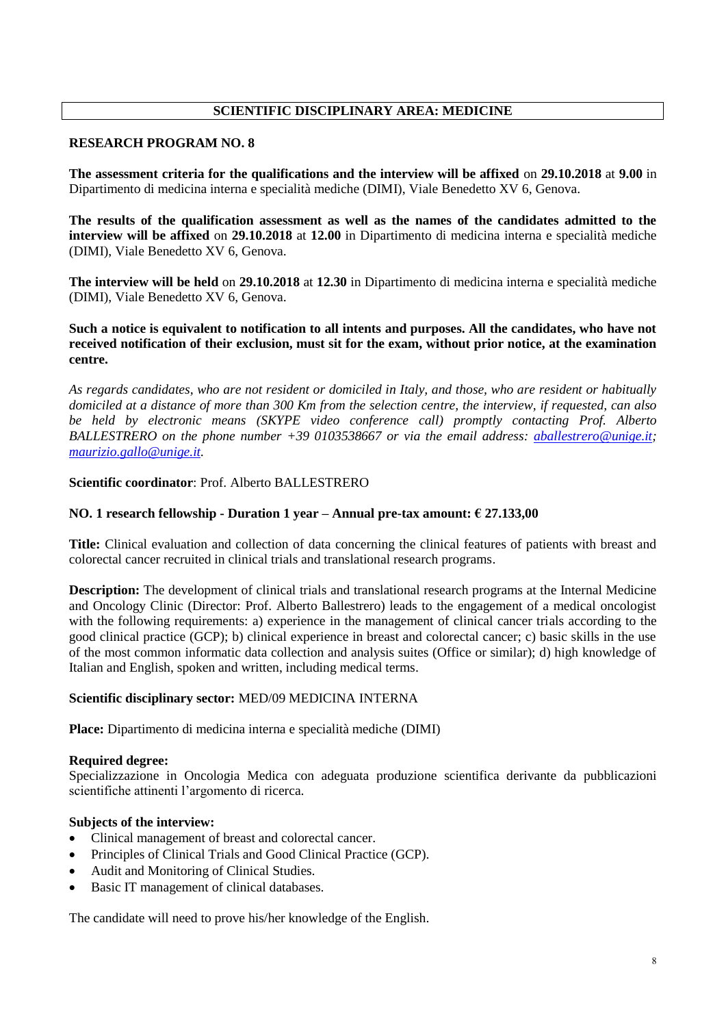# **SCIENTIFIC DISCIPLINARY AREA: MEDICINE**

### **RESEARCH PROGRAM NO. 8**

**The assessment criteria for the qualifications and the interview will be affixed** on **29.10.2018** at **9.00** in Dipartimento di medicina interna e specialità mediche (DIMI), Viale Benedetto XV 6, Genova.

**The results of the qualification assessment as well as the names of the candidates admitted to the interview will be affixed** on **29.10.2018** at **12.00** in Dipartimento di medicina interna e specialità mediche (DIMI), Viale Benedetto XV 6, Genova.

**The interview will be held** on **29.10.2018** at **12.30** in Dipartimento di medicina interna e specialità mediche (DIMI), Viale Benedetto XV 6, Genova.

## **Such a notice is equivalent to notification to all intents and purposes. All the candidates, who have not received notification of their exclusion, must sit for the exam, without prior notice, at the examination centre.**

*As regards candidates, who are not resident or domiciled in Italy, and those, who are resident or habitually domiciled at a distance of more than 300 Km from the selection centre, the interview, if requested, can also be held by electronic means (SKYPE video conference call) promptly contacting Prof. Alberto BALLESTRERO on the phone number +39 0103538667 or via the email address: [aballestrero@unige.it;](mailto:aballestrero@unige.it) [maurizio.gallo@unige.it.](mailto:maurizio.gallo@unige.it)*

## **Scientific coordinator**: Prof. Alberto BALLESTRERO

## **NO. 1 research fellowship - Duration 1 year – Annual pre-tax amount: € 27.133,00**

**Title:** Clinical evaluation and collection of data concerning the clinical features of patients with breast and colorectal cancer recruited in clinical trials and translational research programs.

**Description:** The development of clinical trials and translational research programs at the Internal Medicine and Oncology Clinic (Director: Prof. Alberto Ballestrero) leads to the engagement of a medical oncologist with the following requirements: a) experience in the management of clinical cancer trials according to the good clinical practice (GCP); b) clinical experience in breast and colorectal cancer; c) basic skills in the use of the most common informatic data collection and analysis suites (Office or similar); d) high knowledge of Italian and English, spoken and written, including medical terms.

#### **Scientific disciplinary sector:** MED/09 MEDICINA INTERNA

**Place:** Dipartimento di medicina interna e specialità mediche (DIMI)

#### **Required degree:**

Specializzazione in Oncologia Medica con adeguata produzione scientifica derivante da pubblicazioni scientifiche attinenti l'argomento di ricerca.

#### **Subjects of the interview:**

- Clinical management of breast and colorectal cancer.
- Principles of Clinical Trials and Good Clinical Practice (GCP).
- Audit and Monitoring of Clinical Studies.
- Basic IT management of clinical databases.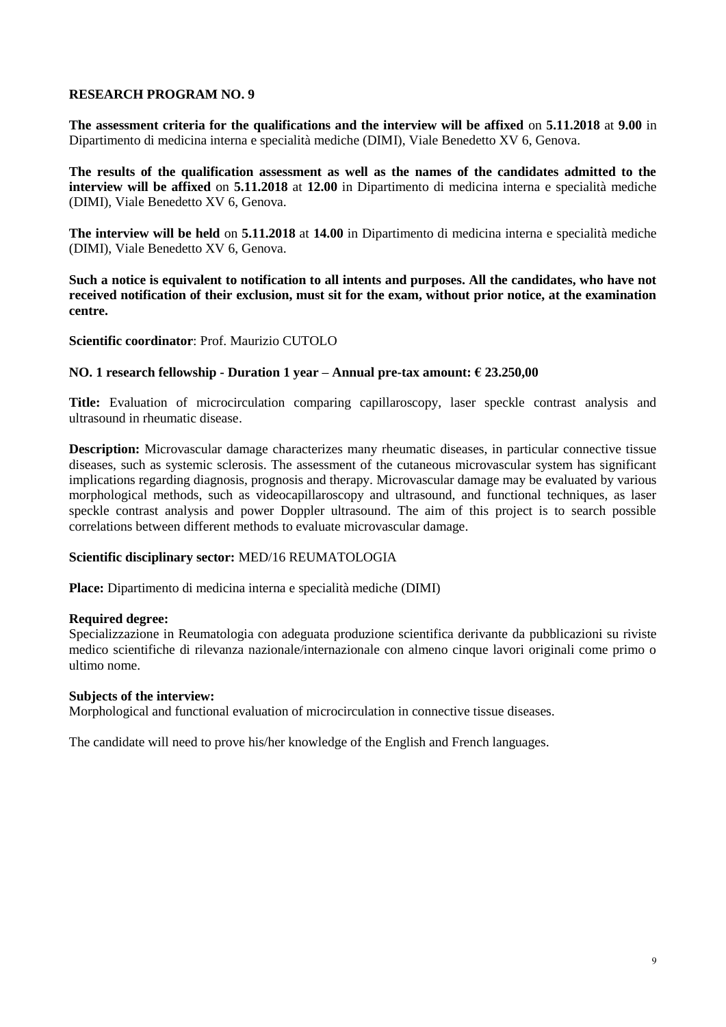**The assessment criteria for the qualifications and the interview will be affixed** on **5.11.2018** at **9.00** in Dipartimento di medicina interna e specialità mediche (DIMI), Viale Benedetto XV 6, Genova.

**The results of the qualification assessment as well as the names of the candidates admitted to the interview will be affixed** on **5.11.2018** at **12.00** in Dipartimento di medicina interna e specialità mediche (DIMI), Viale Benedetto XV 6, Genova.

**The interview will be held** on **5.11.2018** at **14.00** in Dipartimento di medicina interna e specialità mediche (DIMI), Viale Benedetto XV 6, Genova.

**Such a notice is equivalent to notification to all intents and purposes. All the candidates, who have not received notification of their exclusion, must sit for the exam, without prior notice, at the examination centre.**

**Scientific coordinator**: Prof. Maurizio CUTOLO

## **NO. 1 research fellowship - Duration 1 year – Annual pre-tax amount: € 23.250,00**

**Title:** Evaluation of microcirculation comparing capillaroscopy, laser speckle contrast analysis and ultrasound in rheumatic disease.

**Description:** Microvascular damage characterizes many rheumatic diseases, in particular connective tissue diseases, such as systemic sclerosis. The assessment of the cutaneous microvascular system has significant implications regarding diagnosis, prognosis and therapy. Microvascular damage may be evaluated by various morphological methods, such as videocapillaroscopy and ultrasound, and functional techniques, as laser speckle contrast analysis and power Doppler ultrasound. The aim of this project is to search possible correlations between different methods to evaluate microvascular damage.

## **Scientific disciplinary sector:** MED/16 REUMATOLOGIA

**Place:** Dipartimento di medicina interna e specialità mediche (DIMI)

## **Required degree:**

Specializzazione in Reumatologia con adeguata produzione scientifica derivante da pubblicazioni su riviste medico scientifiche di rilevanza nazionale/internazionale con almeno cinque lavori originali come primo o ultimo nome.

## **Subjects of the interview:**

Morphological and functional evaluation of microcirculation in connective tissue diseases.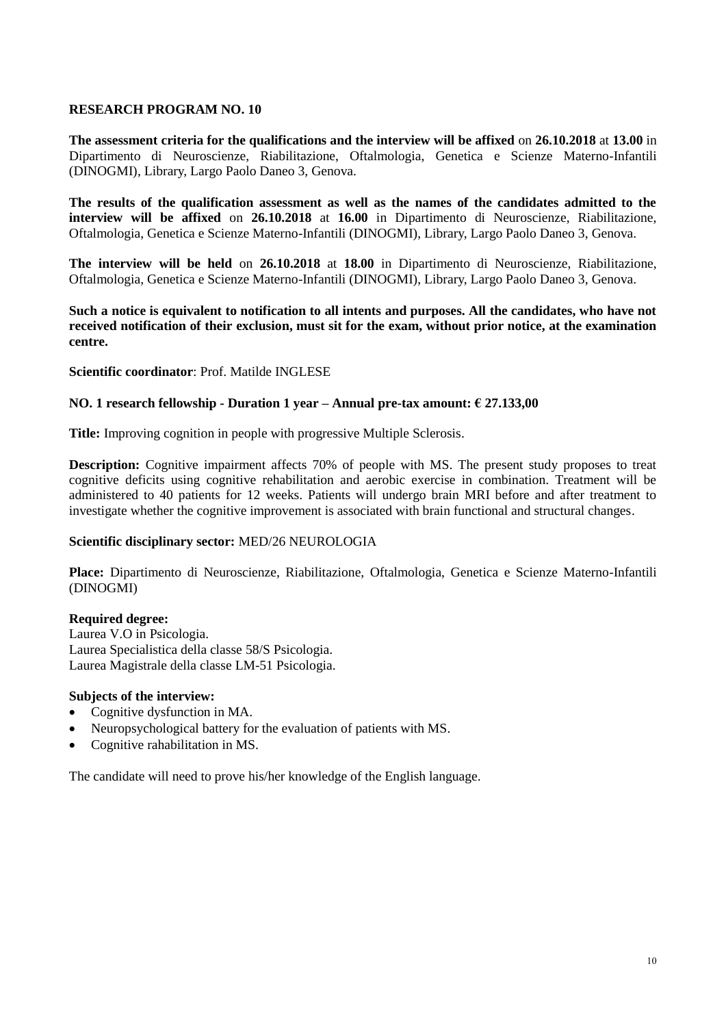**The assessment criteria for the qualifications and the interview will be affixed** on **26.10.2018** at **13.00** in Dipartimento di Neuroscienze, Riabilitazione, Oftalmologia, Genetica e Scienze Materno-Infantili (DINOGMI), Library, Largo Paolo Daneo 3, Genova.

**The results of the qualification assessment as well as the names of the candidates admitted to the interview will be affixed** on **26.10.2018** at **16.00** in Dipartimento di Neuroscienze, Riabilitazione, Oftalmologia, Genetica e Scienze Materno-Infantili (DINOGMI), Library, Largo Paolo Daneo 3, Genova.

**The interview will be held** on **26.10.2018** at **18.00** in Dipartimento di Neuroscienze, Riabilitazione, Oftalmologia, Genetica e Scienze Materno-Infantili (DINOGMI), Library, Largo Paolo Daneo 3, Genova.

**Such a notice is equivalent to notification to all intents and purposes. All the candidates, who have not received notification of their exclusion, must sit for the exam, without prior notice, at the examination centre.**

## **Scientific coordinator**: Prof. Matilde INGLESE

## **NO. 1 research fellowship - Duration 1 year – Annual pre-tax amount: € 27.133,00**

**Title:** Improving cognition in people with progressive Multiple Sclerosis.

**Description:** Cognitive impairment affects 70% of people with MS. The present study proposes to treat cognitive deficits using cognitive rehabilitation and aerobic exercise in combination. Treatment will be administered to 40 patients for 12 weeks. Patients will undergo brain MRI before and after treatment to investigate whether the cognitive improvement is associated with brain functional and structural changes.

## **Scientific disciplinary sector:** MED/26 NEUROLOGIA

**Place:** Dipartimento di Neuroscienze, Riabilitazione, Oftalmologia, Genetica e Scienze Materno-Infantili (DINOGMI)

#### **Required degree:**

Laurea V.O in Psicologia. Laurea Specialistica della classe 58/S Psicologia. Laurea Magistrale della classe LM-51 Psicologia.

#### **Subjects of the interview:**

- Cognitive dysfunction in MA.
- Neuropsychological battery for the evaluation of patients with MS.
- Cognitive rahabilitation in MS.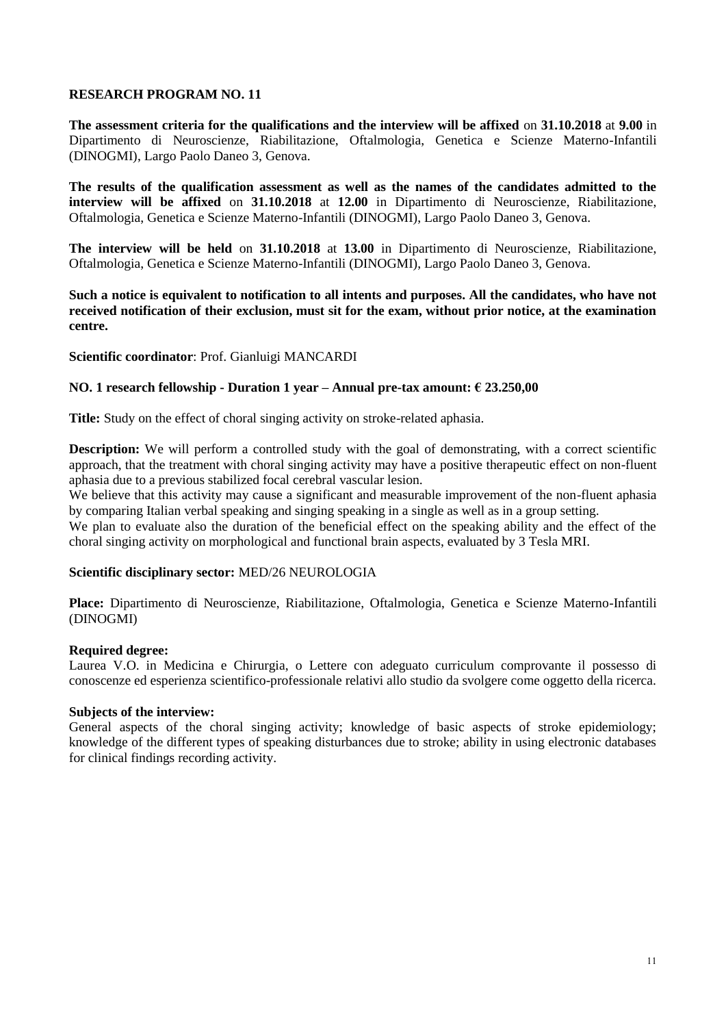**The assessment criteria for the qualifications and the interview will be affixed** on **31.10.2018** at **9.00** in Dipartimento di Neuroscienze, Riabilitazione, Oftalmologia, Genetica e Scienze Materno-Infantili (DINOGMI), Largo Paolo Daneo 3, Genova.

**The results of the qualification assessment as well as the names of the candidates admitted to the interview will be affixed** on **31.10.2018** at **12.00** in Dipartimento di Neuroscienze, Riabilitazione, Oftalmologia, Genetica e Scienze Materno-Infantili (DINOGMI), Largo Paolo Daneo 3, Genova.

**The interview will be held** on **31.10.2018** at **13.00** in Dipartimento di Neuroscienze, Riabilitazione, Oftalmologia, Genetica e Scienze Materno-Infantili (DINOGMI), Largo Paolo Daneo 3, Genova.

**Such a notice is equivalent to notification to all intents and purposes. All the candidates, who have not received notification of their exclusion, must sit for the exam, without prior notice, at the examination centre.**

**Scientific coordinator**: Prof. Gianluigi MANCARDI

### **NO. 1 research fellowship - Duration 1 year – Annual pre-tax amount: € 23.250,00**

**Title:** Study on the effect of choral singing activity on stroke-related aphasia.

**Description:** We will perform a controlled study with the goal of demonstrating, with a correct scientific approach, that the treatment with choral singing activity may have a positive therapeutic effect on non-fluent aphasia due to a previous stabilized focal cerebral vascular lesion.

We believe that this activity may cause a significant and measurable improvement of the non-fluent aphasia by comparing Italian verbal speaking and singing speaking in a single as well as in a group setting.

We plan to evaluate also the duration of the beneficial effect on the speaking ability and the effect of the choral singing activity on morphological and functional brain aspects, evaluated by 3 Tesla MRI.

## **Scientific disciplinary sector:** MED/26 NEUROLOGIA

**Place:** Dipartimento di Neuroscienze, Riabilitazione, Oftalmologia, Genetica e Scienze Materno-Infantili (DINOGMI)

#### **Required degree:**

Laurea V.O. in Medicina e Chirurgia, o Lettere con adeguato curriculum comprovante il possesso di conoscenze ed esperienza scientifico-professionale relativi allo studio da svolgere come oggetto della ricerca.

#### **Subjects of the interview:**

General aspects of the choral singing activity; knowledge of basic aspects of stroke epidemiology; knowledge of the different types of speaking disturbances due to stroke; ability in using electronic databases for clinical findings recording activity.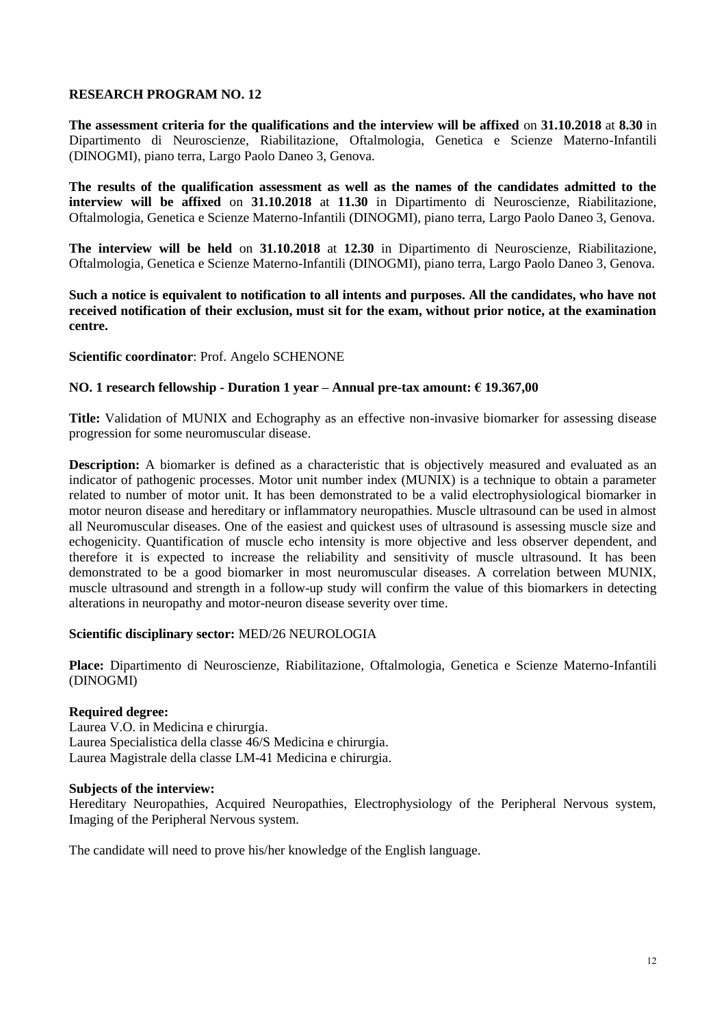**The assessment criteria for the qualifications and the interview will be affixed** on **31.10.2018** at **8.30** in Dipartimento di Neuroscienze, Riabilitazione, Oftalmologia, Genetica e Scienze Materno-Infantili (DINOGMI), piano terra, Largo Paolo Daneo 3, Genova.

**The results of the qualification assessment as well as the names of the candidates admitted to the interview will be affixed** on **31.10.2018** at **11.30** in Dipartimento di Neuroscienze, Riabilitazione, Oftalmologia, Genetica e Scienze Materno-Infantili (DINOGMI), piano terra, Largo Paolo Daneo 3, Genova.

**The interview will be held** on **31.10.2018** at **12.30** in Dipartimento di Neuroscienze, Riabilitazione, Oftalmologia, Genetica e Scienze Materno-Infantili (DINOGMI), piano terra, Largo Paolo Daneo 3, Genova.

**Such a notice is equivalent to notification to all intents and purposes. All the candidates, who have not received notification of their exclusion, must sit for the exam, without prior notice, at the examination centre.**

## **Scientific coordinator**: Prof. Angelo SCHENONE

## **NO. 1 research fellowship - Duration 1 year – Annual pre-tax amount: € 19.367,00**

**Title:** Validation of MUNIX and Echography as an effective non-invasive biomarker for assessing disease progression for some neuromuscular disease.

**Description:** A biomarker is defined as a characteristic that is objectively measured and evaluated as an indicator of pathogenic processes. Motor unit number index (MUNIX) is a technique to obtain a parameter related to number of motor unit. It has been demonstrated to be a valid electrophysiological biomarker in motor neuron disease and hereditary or inflammatory neuropathies. Muscle ultrasound can be used in almost all Neuromuscular diseases. One of the easiest and quickest uses of ultrasound is assessing muscle size and echogenicity. Quantification of muscle echo intensity is more objective and less observer dependent, and therefore it is expected to increase the reliability and sensitivity of muscle ultrasound. It has been demonstrated to be a good biomarker in most neuromuscular diseases. A correlation between MUNIX, muscle ultrasound and strength in a follow-up study will confirm the value of this biomarkers in detecting alterations in neuropathy and motor-neuron disease severity over time.

#### **Scientific disciplinary sector:** MED/26 NEUROLOGIA

**Place:** Dipartimento di Neuroscienze, Riabilitazione, Oftalmologia, Genetica e Scienze Materno-Infantili (DINOGMI)

## **Required degree:**

Laurea V.O. in Medicina e chirurgia. Laurea Specialistica della classe 46/S Medicina e chirurgia. Laurea Magistrale della classe LM-41 Medicina e chirurgia.

#### **Subjects of the interview:**

Hereditary Neuropathies, Acquired Neuropathies, Electrophysiology of the Peripheral Nervous system, Imaging of the Peripheral Nervous system.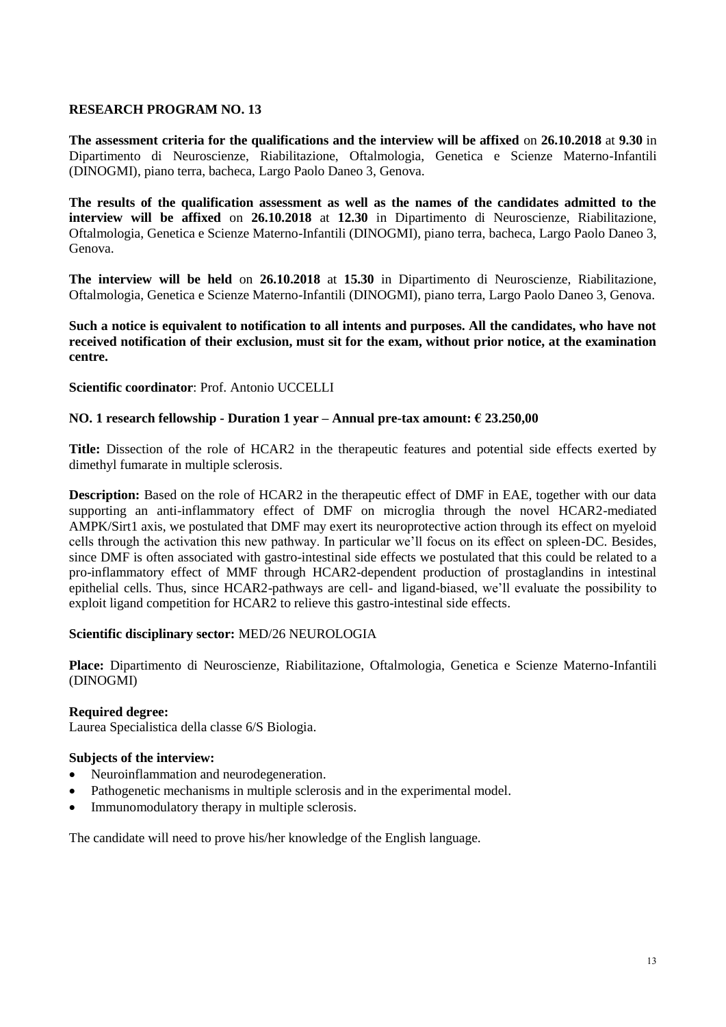**The assessment criteria for the qualifications and the interview will be affixed** on **26.10.2018** at **9.30** in Dipartimento di Neuroscienze, Riabilitazione, Oftalmologia, Genetica e Scienze Materno-Infantili (DINOGMI), piano terra, bacheca, Largo Paolo Daneo 3, Genova.

**The results of the qualification assessment as well as the names of the candidates admitted to the interview will be affixed** on **26.10.2018** at **12.30** in Dipartimento di Neuroscienze, Riabilitazione, Oftalmologia, Genetica e Scienze Materno-Infantili (DINOGMI), piano terra, bacheca, Largo Paolo Daneo 3, Genova.

**The interview will be held** on **26.10.2018** at **15.30** in Dipartimento di Neuroscienze, Riabilitazione, Oftalmologia, Genetica e Scienze Materno-Infantili (DINOGMI), piano terra, Largo Paolo Daneo 3, Genova.

**Such a notice is equivalent to notification to all intents and purposes. All the candidates, who have not received notification of their exclusion, must sit for the exam, without prior notice, at the examination centre.**

**Scientific coordinator**: Prof. Antonio UCCELLI

## **NO. 1 research fellowship - Duration 1 year – Annual pre-tax amount: € 23.250,00**

**Title:** Dissection of the role of HCAR2 in the therapeutic features and potential side effects exerted by dimethyl fumarate in multiple sclerosis.

**Description:** Based on the role of HCAR2 in the therapeutic effect of DMF in EAE, together with our data supporting an anti-inflammatory effect of DMF on microglia through the novel HCAR2-mediated AMPK/Sirt1 axis, we postulated that DMF may exert its neuroprotective action through its effect on myeloid cells through the activation this new pathway. In particular we'll focus on its effect on spleen-DC. Besides, since DMF is often associated with gastro-intestinal side effects we postulated that this could be related to a pro-inflammatory effect of MMF through HCAR2-dependent production of prostaglandins in intestinal epithelial cells. Thus, since HCAR2-pathways are cell- and ligand-biased, we'll evaluate the possibility to exploit ligand competition for HCAR2 to relieve this gastro-intestinal side effects.

## **Scientific disciplinary sector:** MED/26 NEUROLOGIA

**Place:** Dipartimento di Neuroscienze, Riabilitazione, Oftalmologia, Genetica e Scienze Materno-Infantili (DINOGMI)

## **Required degree:**

Laurea Specialistica della classe 6/S Biologia.

## **Subjects of the interview:**

- Neuroinflammation and neurodegeneration.
- Pathogenetic mechanisms in multiple sclerosis and in the experimental model.
- Immunomodulatory therapy in multiple sclerosis.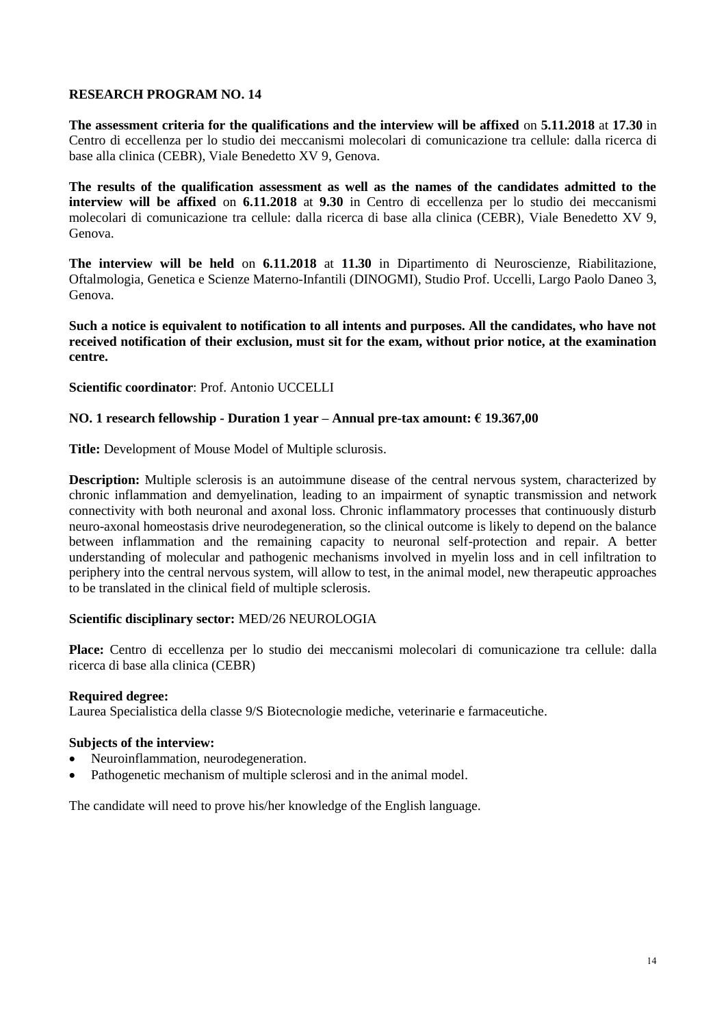**The assessment criteria for the qualifications and the interview will be affixed** on **5.11.2018** at **17.30** in Centro di eccellenza per lo studio dei meccanismi molecolari di comunicazione tra cellule: dalla ricerca di base alla clinica (CEBR), Viale Benedetto XV 9, Genova.

**The results of the qualification assessment as well as the names of the candidates admitted to the interview will be affixed** on **6.11.2018** at **9.30** in Centro di eccellenza per lo studio dei meccanismi molecolari di comunicazione tra cellule: dalla ricerca di base alla clinica (CEBR), Viale Benedetto XV 9, Genova.

**The interview will be held** on **6.11.2018** at **11.30** in Dipartimento di Neuroscienze, Riabilitazione, Oftalmologia, Genetica e Scienze Materno-Infantili (DINOGMI), Studio Prof. Uccelli, Largo Paolo Daneo 3, Genova.

**Such a notice is equivalent to notification to all intents and purposes. All the candidates, who have not received notification of their exclusion, must sit for the exam, without prior notice, at the examination centre.**

## **Scientific coordinator**: Prof. Antonio UCCELLI

# **NO. 1 research fellowship - Duration 1 year – Annual pre-tax amount: € 19.367,00**

**Title:** Development of Mouse Model of Multiple sclurosis.

**Description:** Multiple sclerosis is an autoimmune disease of the central nervous system, characterized by chronic inflammation and demyelination, leading to an impairment of synaptic transmission and network connectivity with both neuronal and axonal loss. Chronic inflammatory processes that continuously disturb neuro-axonal homeostasis drive neurodegeneration, so the clinical outcome is likely to depend on the balance between inflammation and the remaining capacity to neuronal self-protection and repair. A better understanding of molecular and pathogenic mechanisms involved in myelin loss and in cell infiltration to periphery into the central nervous system, will allow to test, in the animal model, new therapeutic approaches to be translated in the clinical field of multiple sclerosis.

## **Scientific disciplinary sector:** MED/26 NEUROLOGIA

**Place:** Centro di eccellenza per lo studio dei meccanismi molecolari di comunicazione tra cellule: dalla ricerca di base alla clinica (CEBR)

## **Required degree:**

Laurea Specialistica della classe 9/S Biotecnologie mediche, veterinarie e farmaceutiche.

# **Subjects of the interview:**

- Neuroinflammation, neurodegeneration.
- Pathogenetic mechanism of multiple sclerosi and in the animal model.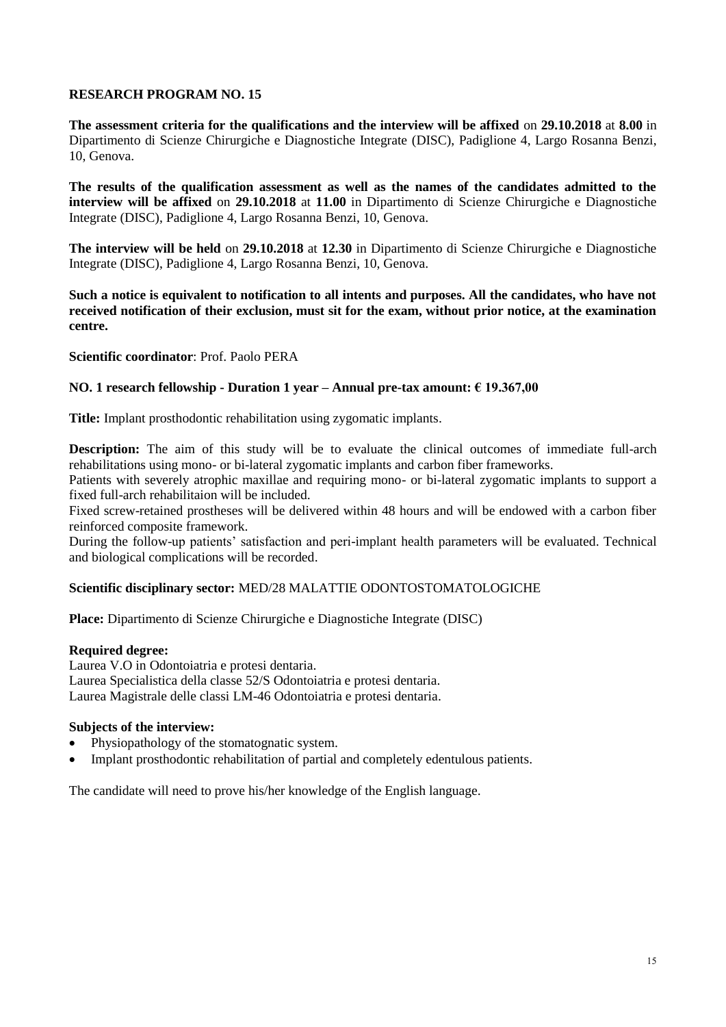**The assessment criteria for the qualifications and the interview will be affixed** on **29.10.2018** at **8.00** in Dipartimento di Scienze Chirurgiche e Diagnostiche Integrate (DISC), Padiglione 4, Largo Rosanna Benzi, 10, Genova.

**The results of the qualification assessment as well as the names of the candidates admitted to the interview will be affixed** on **29.10.2018** at **11.00** in Dipartimento di Scienze Chirurgiche e Diagnostiche Integrate (DISC), Padiglione 4, Largo Rosanna Benzi, 10, Genova.

**The interview will be held** on **29.10.2018** at **12.30** in Dipartimento di Scienze Chirurgiche e Diagnostiche Integrate (DISC), Padiglione 4, Largo Rosanna Benzi, 10, Genova.

**Such a notice is equivalent to notification to all intents and purposes. All the candidates, who have not received notification of their exclusion, must sit for the exam, without prior notice, at the examination centre.**

**Scientific coordinator**: Prof. Paolo PERA

# **NO. 1 research fellowship - Duration 1 year – Annual pre-tax amount: € 19.367,00**

**Title:** Implant prosthodontic rehabilitation using zygomatic implants.

**Description:** The aim of this study will be to evaluate the clinical outcomes of immediate full-arch rehabilitations using mono- or bi-lateral zygomatic implants and carbon fiber frameworks.

Patients with severely atrophic maxillae and requiring mono- or bi-lateral zygomatic implants to support a fixed full-arch rehabilitaion will be included.

Fixed screw-retained prostheses will be delivered within 48 hours and will be endowed with a carbon fiber reinforced composite framework.

During the follow-up patients' satisfaction and peri-implant health parameters will be evaluated. Technical and biological complications will be recorded.

## **Scientific disciplinary sector:** MED/28 MALATTIE ODONTOSTOMATOLOGICHE

**Place:** Dipartimento di Scienze Chirurgiche e Diagnostiche Integrate (DISC)

#### **Required degree:**

Laurea V.O in Odontoiatria e protesi dentaria. Laurea Specialistica della classe 52/S Odontoiatria e protesi dentaria. Laurea Magistrale delle classi LM-46 Odontoiatria e protesi dentaria.

# **Subjects of the interview:**

- Physiopathology of the stomatognatic system.
- Implant prosthodontic rehabilitation of partial and completely edentulous patients.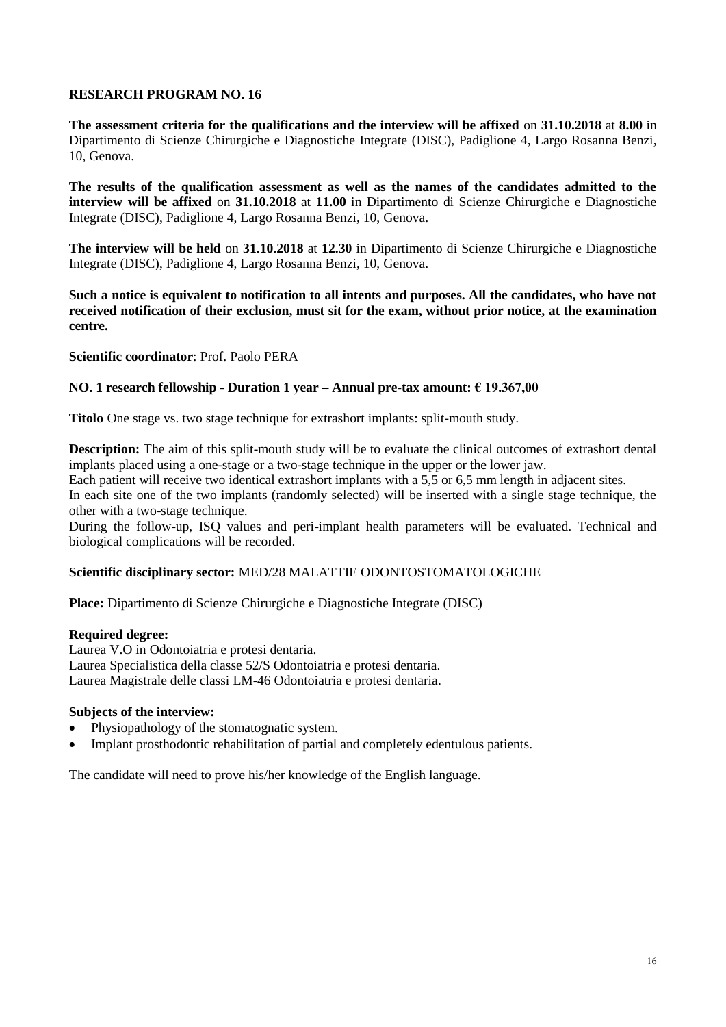**The assessment criteria for the qualifications and the interview will be affixed** on **31.10.2018** at **8.00** in Dipartimento di Scienze Chirurgiche e Diagnostiche Integrate (DISC), Padiglione 4, Largo Rosanna Benzi, 10, Genova.

**The results of the qualification assessment as well as the names of the candidates admitted to the interview will be affixed** on **31.10.2018** at **11.00** in Dipartimento di Scienze Chirurgiche e Diagnostiche Integrate (DISC), Padiglione 4, Largo Rosanna Benzi, 10, Genova.

**The interview will be held** on **31.10.2018** at **12.30** in Dipartimento di Scienze Chirurgiche e Diagnostiche Integrate (DISC), Padiglione 4, Largo Rosanna Benzi, 10, Genova.

**Such a notice is equivalent to notification to all intents and purposes. All the candidates, who have not received notification of their exclusion, must sit for the exam, without prior notice, at the examination centre.**

**Scientific coordinator**: Prof. Paolo PERA

## **NO. 1 research fellowship - Duration 1 year – Annual pre-tax amount: € 19.367,00**

**Titolo** One stage vs. two stage technique for extrashort implants: split-mouth study.

**Description:** The aim of this split-mouth study will be to evaluate the clinical outcomes of extrashort dental implants placed using a one-stage or a two-stage technique in the upper or the lower jaw.

Each patient will receive two identical extrashort implants with a 5,5 or 6,5 mm length in adjacent sites.

In each site one of the two implants (randomly selected) will be inserted with a single stage technique, the other with a two-stage technique.

During the follow-up, ISQ values and peri-implant health parameters will be evaluated. Technical and biological complications will be recorded.

## **Scientific disciplinary sector:** MED/28 MALATTIE ODONTOSTOMATOLOGICHE

**Place:** Dipartimento di Scienze Chirurgiche e Diagnostiche Integrate (DISC)

## **Required degree:**

Laurea V.O in Odontoiatria e protesi dentaria. Laurea Specialistica della classe 52/S Odontoiatria e protesi dentaria. Laurea Magistrale delle classi LM-46 Odontoiatria e protesi dentaria.

## **Subjects of the interview:**

- Physiopathology of the stomatognatic system.
- Implant prosthodontic rehabilitation of partial and completely edentulous patients.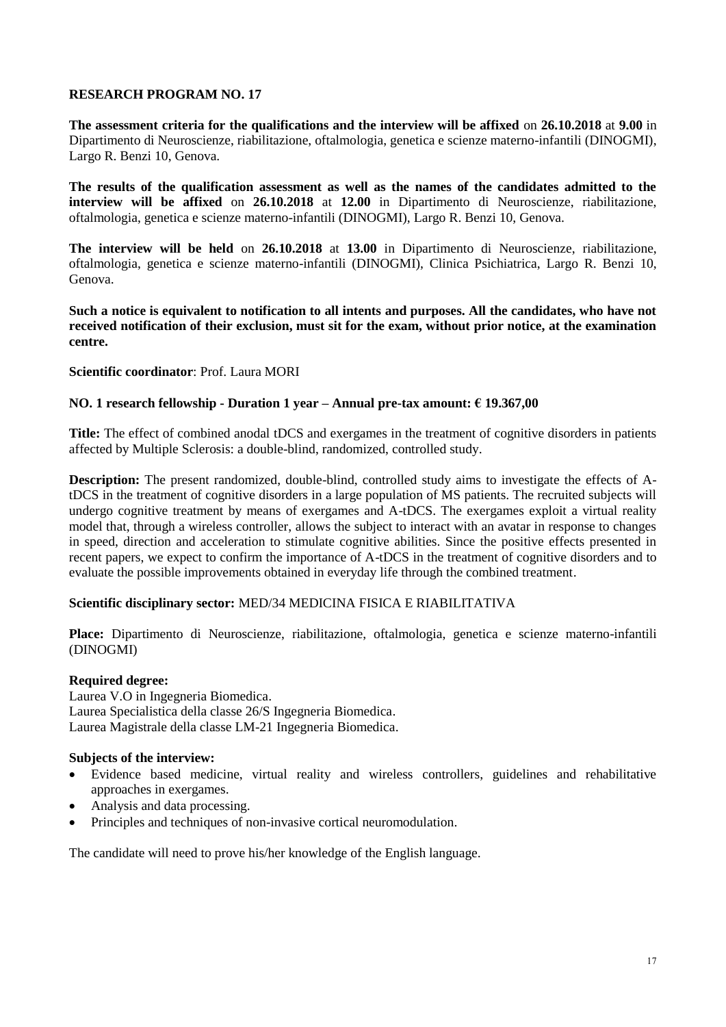**The assessment criteria for the qualifications and the interview will be affixed** on **26.10.2018** at **9.00** in Dipartimento di Neuroscienze, riabilitazione, oftalmologia, genetica e scienze materno-infantili (DINOGMI), Largo R. Benzi 10, Genova.

**The results of the qualification assessment as well as the names of the candidates admitted to the interview will be affixed** on **26.10.2018** at **12.00** in Dipartimento di Neuroscienze, riabilitazione, oftalmologia, genetica e scienze materno-infantili (DINOGMI), Largo R. Benzi 10, Genova.

**The interview will be held** on **26.10.2018** at **13.00** in Dipartimento di Neuroscienze, riabilitazione, oftalmologia, genetica e scienze materno-infantili (DINOGMI), Clinica Psichiatrica, Largo R. Benzi 10, Genova.

**Such a notice is equivalent to notification to all intents and purposes. All the candidates, who have not received notification of their exclusion, must sit for the exam, without prior notice, at the examination centre.**

## **Scientific coordinator**: Prof. Laura MORI

# **NO. 1 research fellowship - Duration 1 year – Annual pre-tax amount: € 19.367,00**

**Title:** The effect of combined anodal tDCS and exergames in the treatment of cognitive disorders in patients affected by Multiple Sclerosis: a double-blind, randomized, controlled study.

**Description:** The present randomized, double-blind, controlled study aims to investigate the effects of AtDCS in the treatment of cognitive disorders in a large population of MS patients. The recruited subjects will undergo cognitive treatment by means of exergames and A-tDCS. The exergames exploit a virtual reality model that, through a wireless controller, allows the subject to interact with an avatar in response to changes in speed, direction and acceleration to stimulate cognitive abilities. Since the positive effects presented in recent papers, we expect to confirm the importance of A-tDCS in the treatment of cognitive disorders and to evaluate the possible improvements obtained in everyday life through the combined treatment.

# **Scientific disciplinary sector:** MED/34 MEDICINA FISICA E RIABILITATIVA

**Place:** Dipartimento di Neuroscienze, riabilitazione, oftalmologia, genetica e scienze materno-infantili (DINOGMI)

## **Required degree:**

Laurea V.O in Ingegneria Biomedica. Laurea Specialistica della classe 26/S Ingegneria Biomedica. Laurea Magistrale della classe LM-21 Ingegneria Biomedica.

## **Subjects of the interview:**

- Evidence based medicine, virtual reality and wireless controllers, guidelines and rehabilitative approaches in exergames.
- Analysis and data processing.
- Principles and techniques of non-invasive cortical neuromodulation.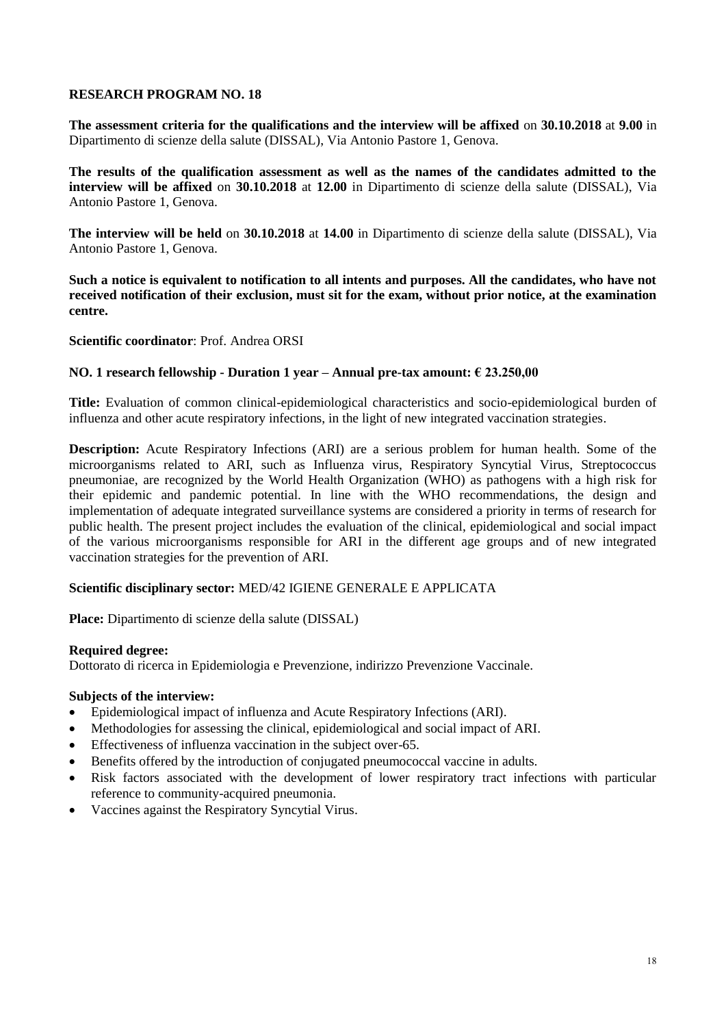**The assessment criteria for the qualifications and the interview will be affixed** on **30.10.2018** at **9.00** in Dipartimento di scienze della salute (DISSAL), Via Antonio Pastore 1, Genova.

**The results of the qualification assessment as well as the names of the candidates admitted to the interview will be affixed** on **30.10.2018** at **12.00** in Dipartimento di scienze della salute (DISSAL), Via Antonio Pastore 1, Genova.

**The interview will be held** on **30.10.2018** at **14.00** in Dipartimento di scienze della salute (DISSAL), Via Antonio Pastore 1, Genova.

**Such a notice is equivalent to notification to all intents and purposes. All the candidates, who have not received notification of their exclusion, must sit for the exam, without prior notice, at the examination centre.**

**Scientific coordinator**: Prof. Andrea ORSI

## **NO. 1 research fellowship - Duration 1 year – Annual pre-tax amount: € 23.250,00**

**Title:** Evaluation of common clinical-epidemiological characteristics and socio-epidemiological burden of influenza and other acute respiratory infections, in the light of new integrated vaccination strategies.

**Description:** Acute Respiratory Infections (ARI) are a serious problem for human health. Some of the microorganisms related to ARI, such as Influenza virus, Respiratory Syncytial Virus, Streptococcus pneumoniae, are recognized by the World Health Organization (WHO) as pathogens with a high risk for their epidemic and pandemic potential. In line with the WHO recommendations, the design and implementation of adequate integrated surveillance systems are considered a priority in terms of research for public health. The present project includes the evaluation of the clinical, epidemiological and social impact of the various microorganisms responsible for ARI in the different age groups and of new integrated vaccination strategies for the prevention of ARI.

## **Scientific disciplinary sector:** MED/42 IGIENE GENERALE E APPLICATA

**Place:** Dipartimento di scienze della salute (DISSAL)

#### **Required degree:**

Dottorato di ricerca in Epidemiologia e Prevenzione, indirizzo Prevenzione Vaccinale.

#### **Subjects of the interview:**

- Epidemiological impact of influenza and Acute Respiratory Infections (ARI).
- Methodologies for assessing the clinical, epidemiological and social impact of ARI.
- Effectiveness of influenza vaccination in the subject over-65.
- Benefits offered by the introduction of conjugated pneumococcal vaccine in adults.
- Risk factors associated with the development of lower respiratory tract infections with particular reference to community-acquired pneumonia.
- Vaccines against the Respiratory Syncytial Virus.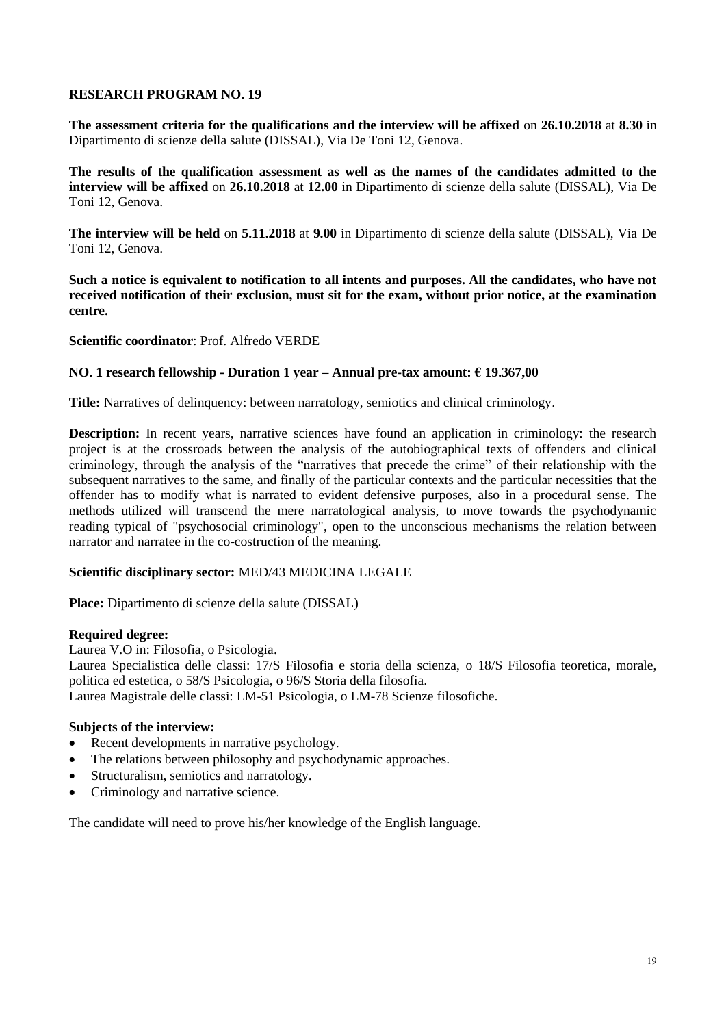**The assessment criteria for the qualifications and the interview will be affixed** on **26.10.2018** at **8.30** in Dipartimento di scienze della salute (DISSAL), Via De Toni 12, Genova.

**The results of the qualification assessment as well as the names of the candidates admitted to the interview will be affixed** on **26.10.2018** at **12.00** in Dipartimento di scienze della salute (DISSAL), Via De Toni 12, Genova.

**The interview will be held** on **5.11.2018** at **9.00** in Dipartimento di scienze della salute (DISSAL), Via De Toni 12, Genova.

**Such a notice is equivalent to notification to all intents and purposes. All the candidates, who have not received notification of their exclusion, must sit for the exam, without prior notice, at the examination centre.**

**Scientific coordinator**: Prof. Alfredo VERDE

## **NO. 1 research fellowship - Duration 1 year – Annual pre-tax amount: € 19.367,00**

**Title:** Narratives of delinquency: between narratology, semiotics and clinical criminology.

**Description:** In recent years, narrative sciences have found an application in criminology: the research project is at the crossroads between the analysis of the autobiographical texts of offenders and clinical criminology, through the analysis of the "narratives that precede the crime" of their relationship with the subsequent narratives to the same, and finally of the particular contexts and the particular necessities that the offender has to modify what is narrated to evident defensive purposes, also in a procedural sense. The methods utilized will transcend the mere narratological analysis, to move towards the psychodynamic reading typical of "psychosocial criminology", open to the unconscious mechanisms the relation between narrator and narratee in the co-costruction of the meaning.

## **Scientific disciplinary sector:** MED/43 MEDICINA LEGALE

**Place:** Dipartimento di scienze della salute (DISSAL)

## **Required degree:**

Laurea V.O in: Filosofia, o Psicologia.

Laurea Specialistica delle classi: 17/S Filosofia e storia della scienza, o 18/S Filosofia teoretica, morale, politica ed estetica, o 58/S Psicologia, o 96/S Storia della filosofia.

Laurea Magistrale delle classi: LM-51 Psicologia, o LM-78 Scienze filosofiche.

# **Subjects of the interview:**

- Recent developments in narrative psychology.
- The relations between philosophy and psychodynamic approaches.
- Structuralism, semiotics and narratology.
- Criminology and narrative science.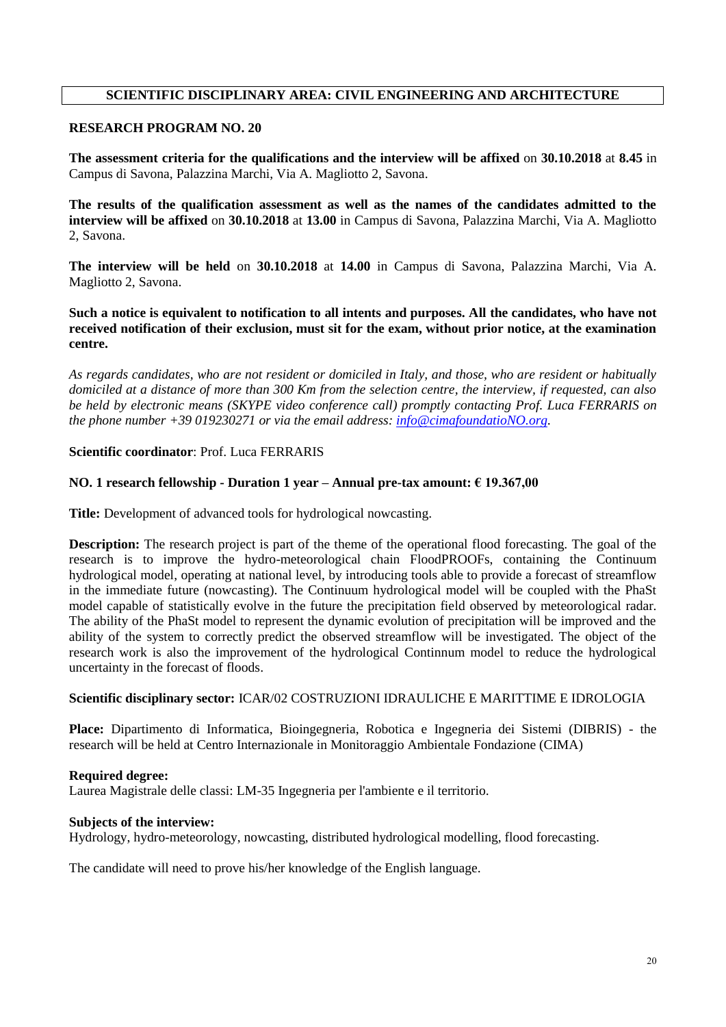# **SCIENTIFIC DISCIPLINARY AREA: CIVIL ENGINEERING AND ARCHITECTURE**

# **RESEARCH PROGRAM NO. 20**

**The assessment criteria for the qualifications and the interview will be affixed** on **30.10.2018** at **8.45** in Campus di Savona, Palazzina Marchi, Via A. Magliotto 2, Savona.

**The results of the qualification assessment as well as the names of the candidates admitted to the interview will be affixed** on **30.10.2018** at **13.00** in Campus di Savona, Palazzina Marchi, Via A. Magliotto 2, Savona.

**The interview will be held** on **30.10.2018** at **14.00** in Campus di Savona, Palazzina Marchi, Via A. Magliotto 2, Savona.

**Such a notice is equivalent to notification to all intents and purposes. All the candidates, who have not received notification of their exclusion, must sit for the exam, without prior notice, at the examination centre.**

*As regards candidates, who are not resident or domiciled in Italy, and those, who are resident or habitually domiciled at a distance of more than 300 Km from the selection centre, the interview, if requested, can also be held by electronic means (SKYPE video conference call) promptly contacting Prof. Luca FERRARIS on the phone number +39 019230271 or via the email address: [info@cimafoundatioNO.org.](mailto:info@cimafoundation.org)*

## **Scientific coordinator**: Prof. Luca FERRARIS

## **NO. 1 research fellowship - Duration 1 year – Annual pre-tax amount: € 19.367,00**

**Title:** Development of advanced tools for hydrological nowcasting.

**Description:** The research project is part of the theme of the operational flood forecasting. The goal of the research is to improve the hydro-meteorological chain FloodPROOFs, containing the Continuum hydrological model, operating at national level, by introducing tools able to provide a forecast of streamflow in the immediate future (nowcasting). The Continuum hydrological model will be coupled with the PhaSt model capable of statistically evolve in the future the precipitation field observed by meteorological radar. The ability of the PhaSt model to represent the dynamic evolution of precipitation will be improved and the ability of the system to correctly predict the observed streamflow will be investigated. The object of the research work is also the improvement of the hydrological Continnum model to reduce the hydrological uncertainty in the forecast of floods.

## **Scientific disciplinary sector:** ICAR/02 COSTRUZIONI IDRAULICHE E MARITTIME E IDROLOGIA

**Place:** Dipartimento di Informatica, Bioingegneria, Robotica e Ingegneria dei Sistemi (DIBRIS) - the research will be held at Centro Internazionale in Monitoraggio Ambientale Fondazione (CIMA)

## **Required degree:**

Laurea Magistrale delle classi: LM-35 Ingegneria per l'ambiente e il territorio.

## **Subjects of the interview:**

Hydrology, hydro-meteorology, nowcasting, distributed hydrological modelling, flood forecasting.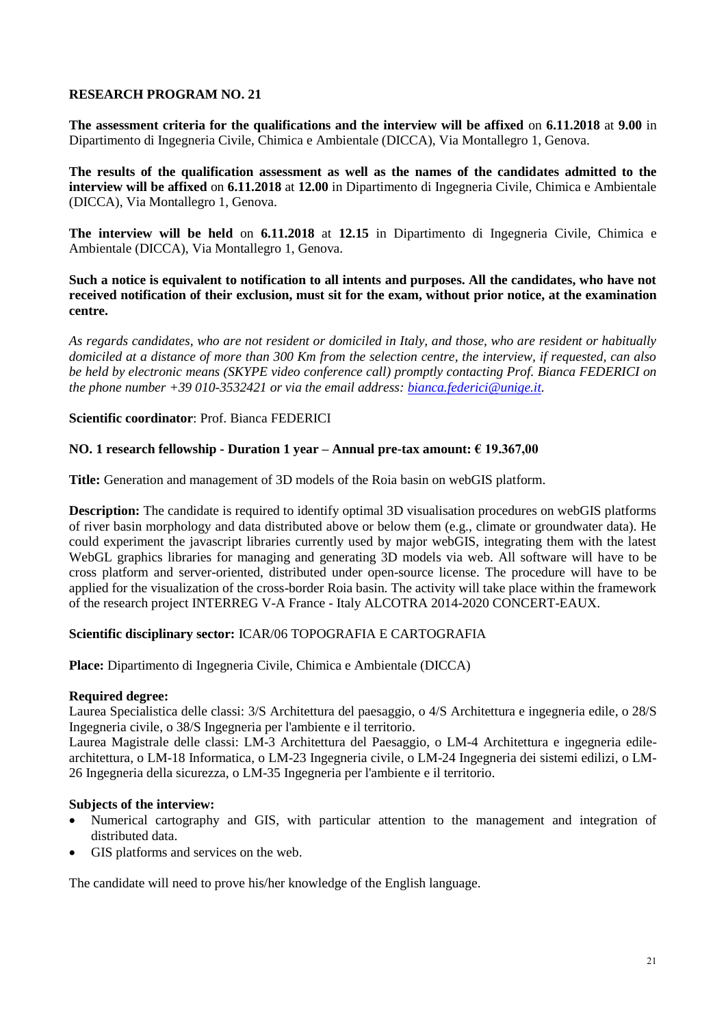**The assessment criteria for the qualifications and the interview will be affixed** on **6.11.2018** at **9.00** in Dipartimento di Ingegneria Civile, Chimica e Ambientale (DICCA), Via Montallegro 1, Genova.

**The results of the qualification assessment as well as the names of the candidates admitted to the interview will be affixed** on **6.11.2018** at **12.00** in Dipartimento di Ingegneria Civile, Chimica e Ambientale (DICCA), Via Montallegro 1, Genova.

**The interview will be held** on **6.11.2018** at **12.15** in Dipartimento di Ingegneria Civile, Chimica e Ambientale (DICCA), Via Montallegro 1, Genova.

**Such a notice is equivalent to notification to all intents and purposes. All the candidates, who have not received notification of their exclusion, must sit for the exam, without prior notice, at the examination centre.**

*As regards candidates, who are not resident or domiciled in Italy, and those, who are resident or habitually domiciled at a distance of more than 300 Km from the selection centre, the interview, if requested, can also be held by electronic means (SKYPE video conference call) promptly contacting Prof. Bianca FEDERICI on the phone number +39 010-3532421 or via the email address: [bianca.federici@unige.it.](mailto:bianca.federici@unige.it)*

## **Scientific coordinator**: Prof. Bianca FEDERICI

# **NO. 1 research fellowship - Duration 1 year – Annual pre-tax amount: € 19.367,00**

**Title:** Generation and management of 3D models of the Roia basin on webGIS platform.

**Description:** The candidate is required to identify optimal 3D visualisation procedures on webGIS platforms of river basin morphology and data distributed above or below them (e.g., climate or groundwater data). He could experiment the javascript libraries currently used by major webGIS, integrating them with the latest WebGL graphics libraries for managing and generating 3D models via web. All software will have to be cross platform and server-oriented, distributed under open-source license. The procedure will have to be applied for the visualization of the cross-border Roia basin. The activity will take place within the framework of the research project INTERREG V-A France - Italy ALCOTRA 2014-2020 CONCERT-EAUX.

## **Scientific disciplinary sector:** ICAR/06 TOPOGRAFIA E CARTOGRAFIA

**Place:** Dipartimento di Ingegneria Civile, Chimica e Ambientale (DICCA)

## **Required degree:**

Laurea Specialistica delle classi: 3/S Architettura del paesaggio, o 4/S Architettura e ingegneria edile, o 28/S Ingegneria civile, o 38/S Ingegneria per l'ambiente e il territorio.

Laurea Magistrale delle classi: LM-3 Architettura del Paesaggio, o LM-4 Architettura e ingegneria edilearchitettura, o LM-18 Informatica, o LM-23 Ingegneria civile, o LM-24 Ingegneria dei sistemi edilizi, o LM-26 Ingegneria della sicurezza, o LM-35 Ingegneria per l'ambiente e il territorio.

## **Subjects of the interview:**

- Numerical cartography and GIS, with particular attention to the management and integration of distributed data.
- GIS platforms and services on the web.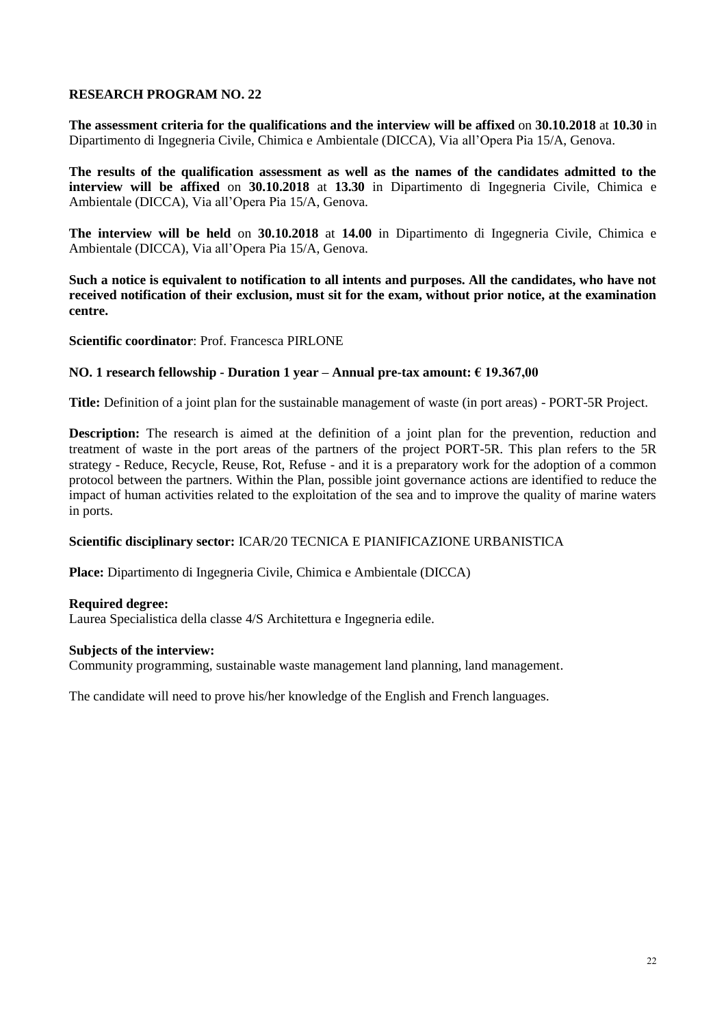**The assessment criteria for the qualifications and the interview will be affixed** on **30.10.2018** at **10.30** in Dipartimento di Ingegneria Civile, Chimica e Ambientale (DICCA), Via all'Opera Pia 15/A, Genova.

**The results of the qualification assessment as well as the names of the candidates admitted to the interview will be affixed** on **30.10.2018** at **13.30** in Dipartimento di Ingegneria Civile, Chimica e Ambientale (DICCA), Via all'Opera Pia 15/A, Genova.

**The interview will be held** on **30.10.2018** at **14.00** in Dipartimento di Ingegneria Civile, Chimica e Ambientale (DICCA), Via all'Opera Pia 15/A, Genova.

**Such a notice is equivalent to notification to all intents and purposes. All the candidates, who have not received notification of their exclusion, must sit for the exam, without prior notice, at the examination centre.**

**Scientific coordinator**: Prof. Francesca PIRLONE

## **NO. 1 research fellowship - Duration 1 year – Annual pre-tax amount: € 19.367,00**

**Title:** Definition of a joint plan for the sustainable management of waste (in port areas) - PORT-5R Project.

**Description:** The research is aimed at the definition of a joint plan for the prevention, reduction and treatment of waste in the port areas of the partners of the project PORT-5R. This plan refers to the 5R strategy - Reduce, Recycle, Reuse, Rot, Refuse - and it is a preparatory work for the adoption of a common protocol between the partners. Within the Plan, possible joint governance actions are identified to reduce the impact of human activities related to the exploitation of the sea and to improve the quality of marine waters in ports.

## **Scientific disciplinary sector:** ICAR/20 TECNICA E PIANIFICAZIONE URBANISTICA

**Place:** Dipartimento di Ingegneria Civile, Chimica e Ambientale (DICCA)

#### **Required degree:**

Laurea Specialistica della classe 4/S Architettura e Ingegneria edile.

#### **Subjects of the interview:**

Community programming, sustainable waste management land planning, land management.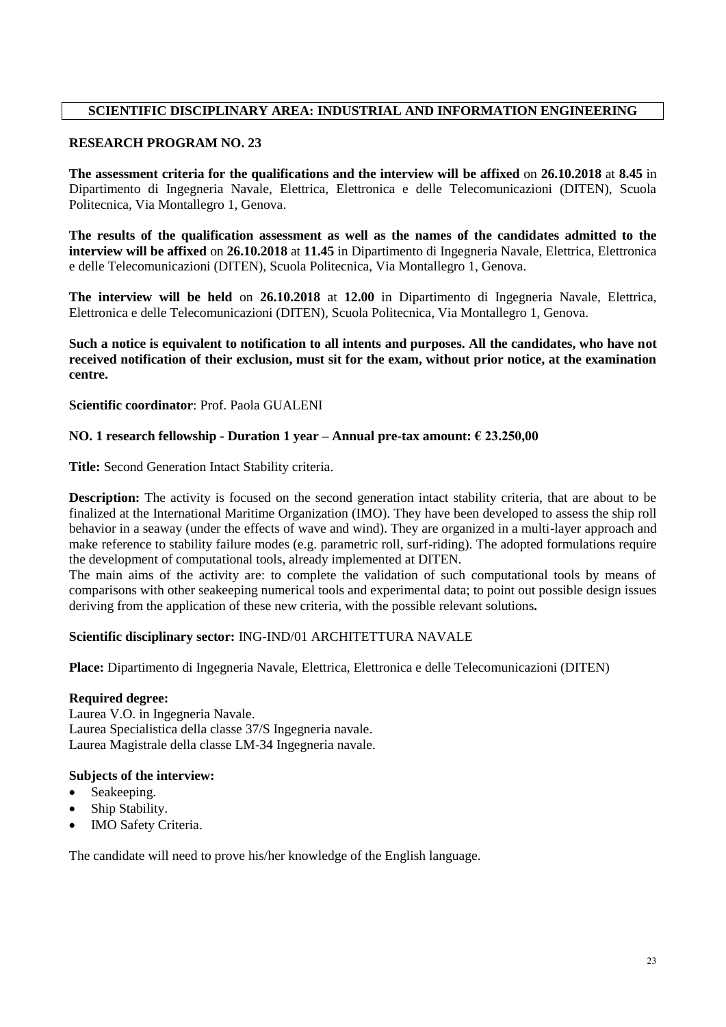# **SCIENTIFIC DISCIPLINARY AREA: INDUSTRIAL AND INFORMATION ENGINEERING**

## **RESEARCH PROGRAM NO. 23**

**The assessment criteria for the qualifications and the interview will be affixed** on **26.10.2018** at **8.45** in Dipartimento di Ingegneria Navale, Elettrica, Elettronica e delle Telecomunicazioni (DITEN), Scuola Politecnica, Via Montallegro 1, Genova.

**The results of the qualification assessment as well as the names of the candidates admitted to the interview will be affixed** on **26.10.2018** at **11.45** in Dipartimento di Ingegneria Navale, Elettrica, Elettronica e delle Telecomunicazioni (DITEN), Scuola Politecnica, Via Montallegro 1, Genova.

**The interview will be held** on **26.10.2018** at **12.00** in Dipartimento di Ingegneria Navale, Elettrica, Elettronica e delle Telecomunicazioni (DITEN), Scuola Politecnica, Via Montallegro 1, Genova.

## **Such a notice is equivalent to notification to all intents and purposes. All the candidates, who have not received notification of their exclusion, must sit for the exam, without prior notice, at the examination centre.**

**Scientific coordinator**: Prof. Paola GUALENI

# **NO. 1 research fellowship - Duration 1 year – Annual pre-tax amount: € 23.250,00**

**Title:** Second Generation Intact Stability criteria.

**Description:** The activity is focused on the second generation intact stability criteria, that are about to be finalized at the International Maritime Organization (IMO). They have been developed to assess the ship roll behavior in a seaway (under the effects of wave and wind). They are organized in a multi-layer approach and make reference to stability failure modes (e.g. parametric roll, surf-riding). The adopted formulations require the development of computational tools, already implemented at DITEN.

The main aims of the activity are: to complete the validation of such computational tools by means of comparisons with other seakeeping numerical tools and experimental data; to point out possible design issues deriving from the application of these new criteria, with the possible relevant solutions*.*

## **Scientific disciplinary sector:** ING-IND/01 ARCHITETTURA NAVALE

**Place:** Dipartimento di Ingegneria Navale, Elettrica, Elettronica e delle Telecomunicazioni (DITEN)

## **Required degree:**

Laurea V.O. in Ingegneria Navale. Laurea Specialistica della classe 37/S Ingegneria navale. Laurea Magistrale della classe LM-34 Ingegneria navale.

## **Subjects of the interview:**

- Seakeeping.
- Ship Stability.
- IMO Safety Criteria.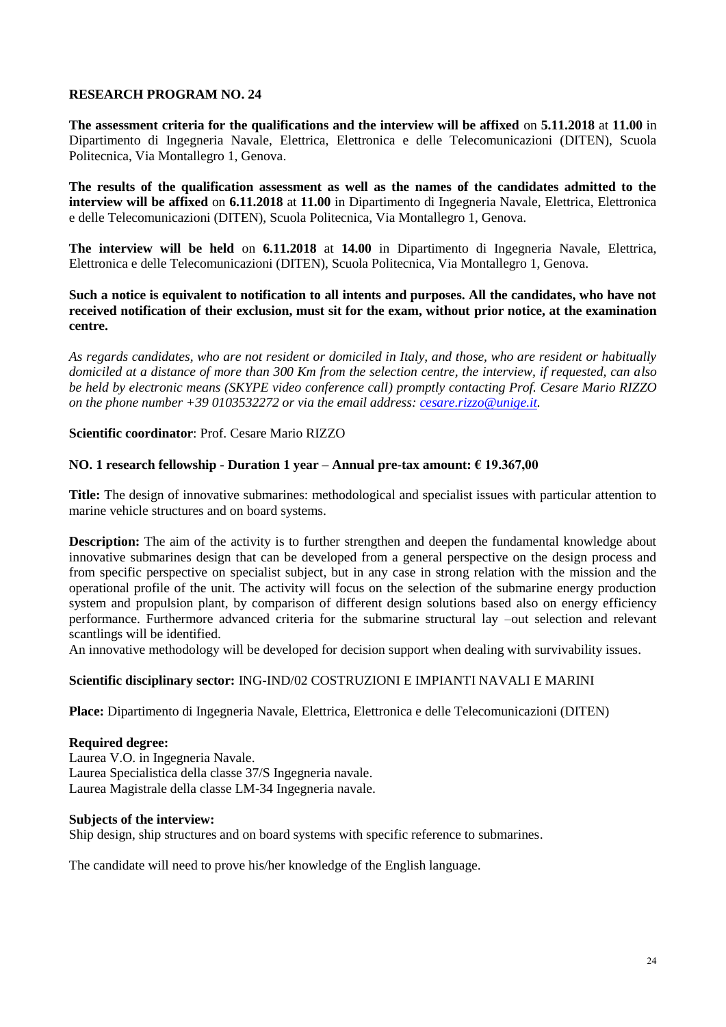**The assessment criteria for the qualifications and the interview will be affixed** on **5.11.2018** at **11.00** in Dipartimento di Ingegneria Navale, Elettrica, Elettronica e delle Telecomunicazioni (DITEN), Scuola Politecnica, Via Montallegro 1, Genova.

**The results of the qualification assessment as well as the names of the candidates admitted to the interview will be affixed** on **6.11.2018** at **11.00** in Dipartimento di Ingegneria Navale, Elettrica, Elettronica e delle Telecomunicazioni (DITEN), Scuola Politecnica, Via Montallegro 1, Genova.

**The interview will be held** on **6.11.2018** at **14.00** in Dipartimento di Ingegneria Navale, Elettrica, Elettronica e delle Telecomunicazioni (DITEN), Scuola Politecnica, Via Montallegro 1, Genova.

**Such a notice is equivalent to notification to all intents and purposes. All the candidates, who have not received notification of their exclusion, must sit for the exam, without prior notice, at the examination centre.**

*As regards candidates, who are not resident or domiciled in Italy, and those, who are resident or habitually domiciled at a distance of more than 300 Km from the selection centre, the interview, if requested, can also be held by electronic means (SKYPE video conference call) promptly contacting Prof. Cesare Mario RIZZO on the phone number +39 0103532272 or via the email address: [cesare.rizzo@unige.it.](mailto:cesare.rizzo@unige.it)*

**Scientific coordinator**: Prof. Cesare Mario RIZZO

## **NO. 1 research fellowship - Duration 1 year – Annual pre-tax amount: € 19.367,00**

**Title:** The design of innovative submarines: methodological and specialist issues with particular attention to marine vehicle structures and on board systems.

**Description:** The aim of the activity is to further strengthen and deepen the fundamental knowledge about innovative submarines design that can be developed from a general perspective on the design process and from specific perspective on specialist subject, but in any case in strong relation with the mission and the operational profile of the unit. The activity will focus on the selection of the submarine energy production system and propulsion plant, by comparison of different design solutions based also on energy efficiency performance. Furthermore advanced criteria for the submarine structural lay –out selection and relevant scantlings will be identified.

An innovative methodology will be developed for decision support when dealing with survivability issues.

## **Scientific disciplinary sector:** ING-IND/02 COSTRUZIONI E IMPIANTI NAVALI E MARINI

**Place:** Dipartimento di Ingegneria Navale, Elettrica, Elettronica e delle Telecomunicazioni (DITEN)

## **Required degree:**

Laurea V.O. in Ingegneria Navale. Laurea Specialistica della classe 37/S Ingegneria navale. Laurea Magistrale della classe LM-34 Ingegneria navale.

### **Subjects of the interview:**

Ship design, ship structures and on board systems with specific reference to submarines.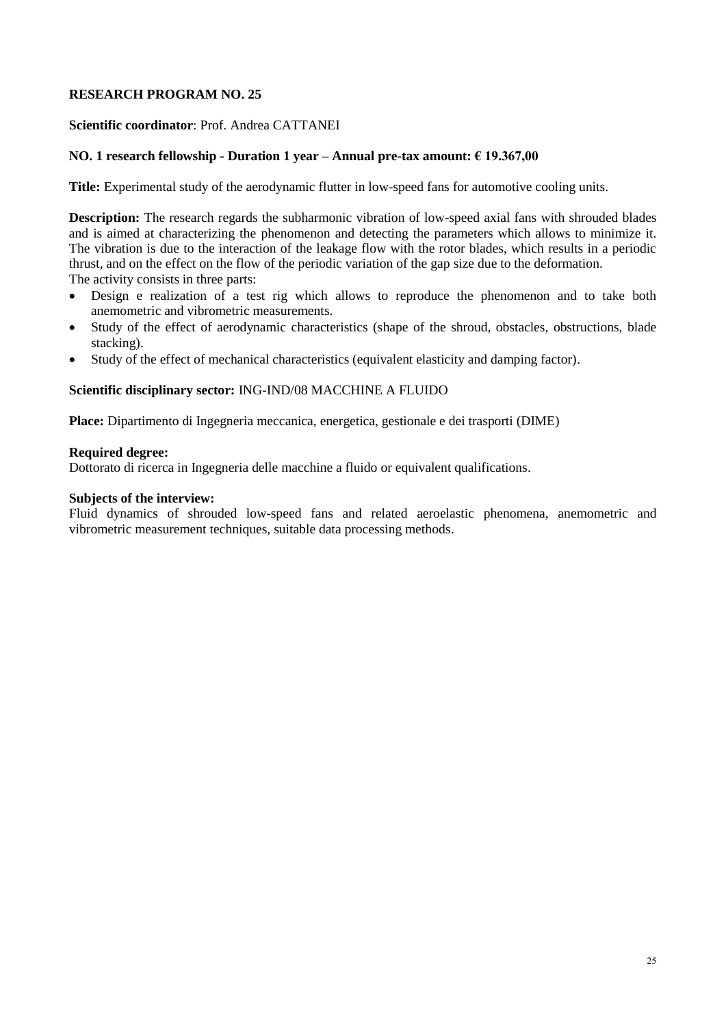### **Scientific coordinator**: Prof. Andrea CATTANEI

### **NO. 1 research fellowship - Duration 1 year – Annual pre-tax amount: € 19.367,00**

**Title:** Experimental study of the aerodynamic flutter in low-speed fans for automotive cooling units.

**Description:** The research regards the subharmonic vibration of low-speed axial fans with shrouded blades and is aimed at characterizing the phenomenon and detecting the parameters which allows to minimize it. The vibration is due to the interaction of the leakage flow with the rotor blades, which results in a periodic thrust, and on the effect on the flow of the periodic variation of the gap size due to the deformation. The activity consists in three parts:

- Design e realization of a test rig which allows to reproduce the phenomenon and to take both anemometric and vibrometric measurements.
- Study of the effect of aerodynamic characteristics (shape of the shroud, obstacles, obstructions, blade stacking).
- Study of the effect of mechanical characteristics (equivalent elasticity and damping factor).

#### **Scientific disciplinary sector:** ING-IND/08 MACCHINE A FLUIDO

**Place:** Dipartimento di Ingegneria meccanica, energetica, gestionale e dei trasporti (DIME)

#### **Required degree:**

Dottorato di ricerca in Ingegneria delle macchine a fluido or equivalent qualifications.

### **Subjects of the interview:**

Fluid dynamics of shrouded low-speed fans and related aeroelastic phenomena, anemometric and vibrometric measurement techniques, suitable data processing methods.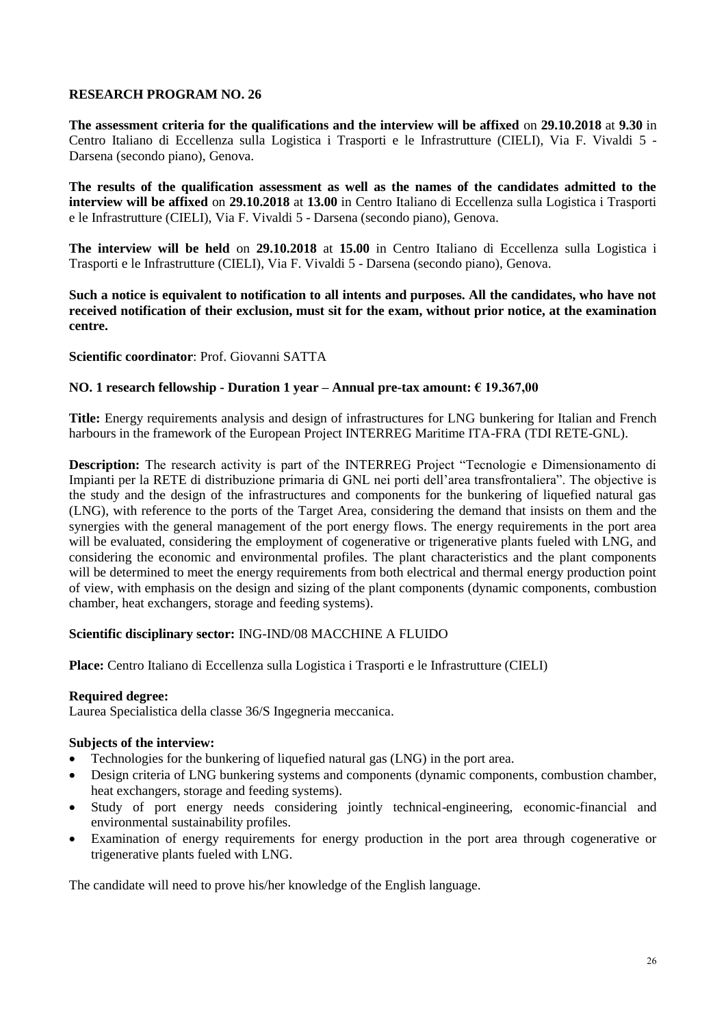**The assessment criteria for the qualifications and the interview will be affixed** on **29.10.2018** at **9.30** in Centro Italiano di Eccellenza sulla Logistica i Trasporti e le Infrastrutture (CIELI), Via F. Vivaldi 5 - Darsena (secondo piano), Genova.

**The results of the qualification assessment as well as the names of the candidates admitted to the interview will be affixed** on **29.10.2018** at **13.00** in Centro Italiano di Eccellenza sulla Logistica i Trasporti e le Infrastrutture (CIELI), Via F. Vivaldi 5 - Darsena (secondo piano), Genova.

**The interview will be held** on **29.10.2018** at **15.00** in Centro Italiano di Eccellenza sulla Logistica i Trasporti e le Infrastrutture (CIELI), Via F. Vivaldi 5 - Darsena (secondo piano), Genova.

**Such a notice is equivalent to notification to all intents and purposes. All the candidates, who have not received notification of their exclusion, must sit for the exam, without prior notice, at the examination centre.**

## **Scientific coordinator**: Prof. Giovanni SATTA

## **NO. 1 research fellowship - Duration 1 year – Annual pre-tax amount: € 19.367,00**

**Title:** Energy requirements analysis and design of infrastructures for LNG bunkering for Italian and French harbours in the framework of the European Project INTERREG Maritime ITA-FRA (TDI RETE-GNL).

**Description:** The research activity is part of the INTERREG Project "Tecnologie e Dimensionamento di Impianti per la RETE di distribuzione primaria di GNL nei porti dell'area transfrontaliera". The objective is the study and the design of the infrastructures and components for the bunkering of liquefied natural gas (LNG), with reference to the ports of the Target Area, considering the demand that insists on them and the synergies with the general management of the port energy flows. The energy requirements in the port area will be evaluated, considering the employment of cogenerative or trigenerative plants fueled with LNG, and considering the economic and environmental profiles. The plant characteristics and the plant components will be determined to meet the energy requirements from both electrical and thermal energy production point of view, with emphasis on the design and sizing of the plant components (dynamic components, combustion chamber, heat exchangers, storage and feeding systems).

## **Scientific disciplinary sector:** ING-IND/08 MACCHINE A FLUIDO

**Place:** Centro Italiano di Eccellenza sulla Logistica i Trasporti e le Infrastrutture (CIELI)

## **Required degree:**

Laurea Specialistica della classe 36/S Ingegneria meccanica.

#### **Subjects of the interview:**

- Technologies for the bunkering of liquefied natural gas (LNG) in the port area.
- Design criteria of LNG bunkering systems and components (dynamic components, combustion chamber, heat exchangers, storage and feeding systems).
- Study of port energy needs considering jointly technical-engineering, economic-financial and environmental sustainability profiles.
- Examination of energy requirements for energy production in the port area through cogenerative or trigenerative plants fueled with LNG.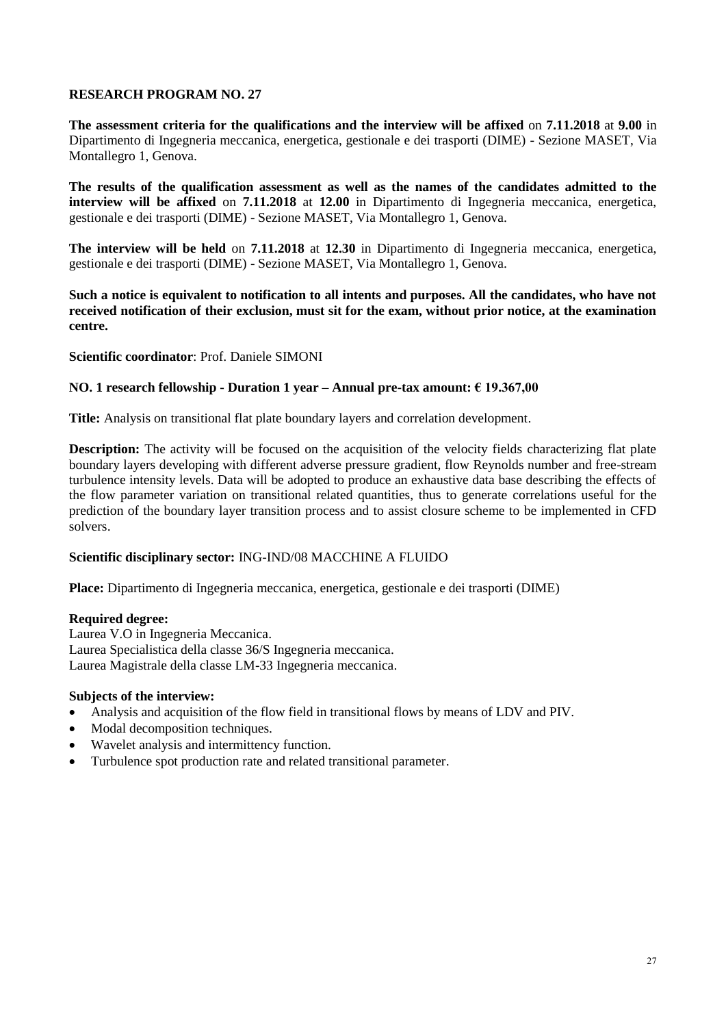**The assessment criteria for the qualifications and the interview will be affixed** on **7.11.2018** at **9.00** in Dipartimento di Ingegneria meccanica, energetica, gestionale e dei trasporti (DIME) - Sezione MASET, Via Montallegro 1, Genova.

**The results of the qualification assessment as well as the names of the candidates admitted to the interview will be affixed** on **7.11.2018** at **12.00** in Dipartimento di Ingegneria meccanica, energetica, gestionale e dei trasporti (DIME) - Sezione MASET, Via Montallegro 1, Genova.

**The interview will be held** on **7.11.2018** at **12.30** in Dipartimento di Ingegneria meccanica, energetica, gestionale e dei trasporti (DIME) - Sezione MASET, Via Montallegro 1, Genova.

**Such a notice is equivalent to notification to all intents and purposes. All the candidates, who have not received notification of their exclusion, must sit for the exam, without prior notice, at the examination centre.**

**Scientific coordinator**: Prof. Daniele SIMONI

### **NO. 1 research fellowship - Duration 1 year – Annual pre-tax amount: € 19.367,00**

**Title:** Analysis on transitional flat plate boundary layers and correlation development.

**Description:** The activity will be focused on the acquisition of the velocity fields characterizing flat plate boundary layers developing with different adverse pressure gradient, flow Reynolds number and free-stream turbulence intensity levels. Data will be adopted to produce an exhaustive data base describing the effects of the flow parameter variation on transitional related quantities, thus to generate correlations useful for the prediction of the boundary layer transition process and to assist closure scheme to be implemented in CFD solvers.

## **Scientific disciplinary sector:** ING-IND/08 MACCHINE A FLUIDO

**Place:** Dipartimento di Ingegneria meccanica, energetica, gestionale e dei trasporti (DIME)

## **Required degree:**

Laurea V.O in Ingegneria Meccanica. Laurea Specialistica della classe 36/S Ingegneria meccanica. Laurea Magistrale della classe LM-33 Ingegneria meccanica.

#### **Subjects of the interview:**

- Analysis and acquisition of the flow field in transitional flows by means of LDV and PIV.
- Modal decomposition techniques.
- Wavelet analysis and intermittency function.
- Turbulence spot production rate and related transitional parameter.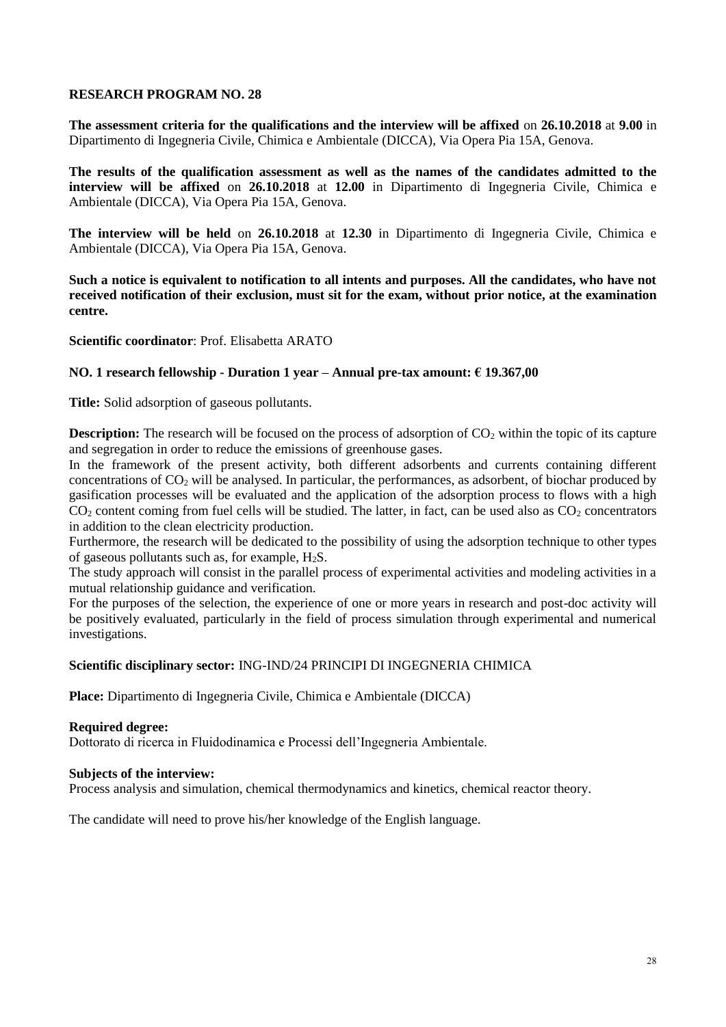**The assessment criteria for the qualifications and the interview will be affixed** on **26.10.2018** at **9.00** in Dipartimento di Ingegneria Civile, Chimica e Ambientale (DICCA), Via Opera Pia 15A, Genova.

**The results of the qualification assessment as well as the names of the candidates admitted to the interview will be affixed** on **26.10.2018** at **12.00** in Dipartimento di Ingegneria Civile, Chimica e Ambientale (DICCA), Via Opera Pia 15A, Genova.

**The interview will be held** on **26.10.2018** at **12.30** in Dipartimento di Ingegneria Civile, Chimica e Ambientale (DICCA), Via Opera Pia 15A, Genova.

**Such a notice is equivalent to notification to all intents and purposes. All the candidates, who have not received notification of their exclusion, must sit for the exam, without prior notice, at the examination centre.**

**Scientific coordinator**: Prof. Elisabetta ARATO

## **NO. 1 research fellowship - Duration 1 year – Annual pre-tax amount: € 19.367,00**

**Title:** Solid adsorption of gaseous pollutants.

**Description:** The research will be focused on the process of adsorption of  $CO<sub>2</sub>$  within the topic of its capture and segregation in order to reduce the emissions of greenhouse gases.

In the framework of the present activity, both different adsorbents and currents containing different concentrations of  $CO<sub>2</sub>$  will be analysed. In particular, the performances, as adsorbent, of biochar produced by gasification processes will be evaluated and the application of the adsorption process to flows with a high  $CO<sub>2</sub>$  content coming from fuel cells will be studied. The latter, in fact, can be used also as  $CO<sub>2</sub>$  concentrators in addition to the clean electricity production.

Furthermore, the research will be dedicated to the possibility of using the adsorption technique to other types of gaseous pollutants such as, for example,  $H_2S$ .

The study approach will consist in the parallel process of experimental activities and modeling activities in a mutual relationship guidance and verification.

For the purposes of the selection, the experience of one or more years in research and post-doc activity will be positively evaluated, particularly in the field of process simulation through experimental and numerical investigations.

## **Scientific disciplinary sector:** ING-IND/24 PRINCIPI DI INGEGNERIA CHIMICA

**Place:** Dipartimento di Ingegneria Civile, Chimica e Ambientale (DICCA)

## **Required degree:**

Dottorato di ricerca in Fluidodinamica e Processi dell'Ingegneria Ambientale.

#### **Subjects of the interview:**

Process analysis and simulation, chemical thermodynamics and kinetics, chemical reactor theory.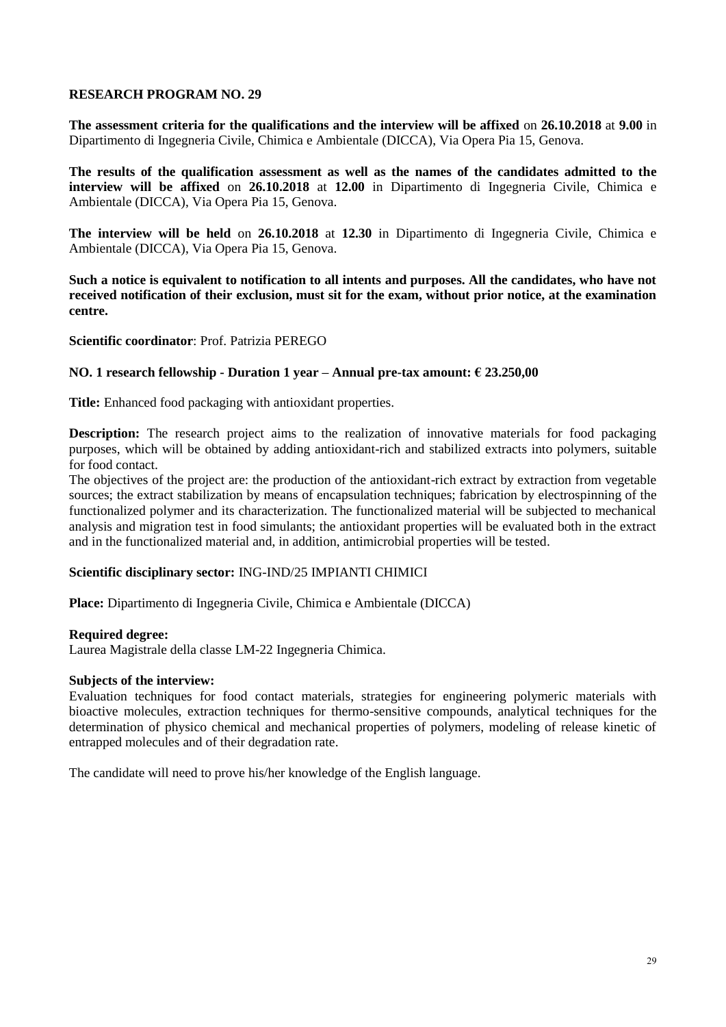**The assessment criteria for the qualifications and the interview will be affixed** on **26.10.2018** at **9.00** in Dipartimento di Ingegneria Civile, Chimica e Ambientale (DICCA), Via Opera Pia 15, Genova.

**The results of the qualification assessment as well as the names of the candidates admitted to the interview will be affixed** on **26.10.2018** at **12.00** in Dipartimento di Ingegneria Civile, Chimica e Ambientale (DICCA), Via Opera Pia 15, Genova.

**The interview will be held** on **26.10.2018** at **12.30** in Dipartimento di Ingegneria Civile, Chimica e Ambientale (DICCA), Via Opera Pia 15, Genova.

**Such a notice is equivalent to notification to all intents and purposes. All the candidates, who have not received notification of their exclusion, must sit for the exam, without prior notice, at the examination centre.**

**Scientific coordinator**: Prof. Patrizia PEREGO

## **NO. 1 research fellowship - Duration 1 year – Annual pre-tax amount: € 23.250,00**

**Title:** Enhanced food packaging with antioxidant properties.

**Description:** The research project aims to the realization of innovative materials for food packaging purposes, which will be obtained by adding antioxidant-rich and stabilized extracts into polymers, suitable for food contact.

The objectives of the project are: the production of the antioxidant-rich extract by extraction from vegetable sources; the extract stabilization by means of encapsulation techniques; fabrication by electrospinning of the functionalized polymer and its characterization. The functionalized material will be subjected to mechanical analysis and migration test in food simulants; the antioxidant properties will be evaluated both in the extract and in the functionalized material and, in addition, antimicrobial properties will be tested.

## **Scientific disciplinary sector:** ING-IND/25 IMPIANTI CHIMICI

**Place:** Dipartimento di Ingegneria Civile, Chimica e Ambientale (DICCA)

#### **Required degree:**

Laurea Magistrale della classe LM-22 Ingegneria Chimica.

#### **Subjects of the interview:**

Evaluation techniques for food contact materials, strategies for engineering polymeric materials with bioactive molecules, extraction techniques for thermo-sensitive compounds, analytical techniques for the determination of physico chemical and mechanical properties of polymers, modeling of release kinetic of entrapped molecules and of their degradation rate.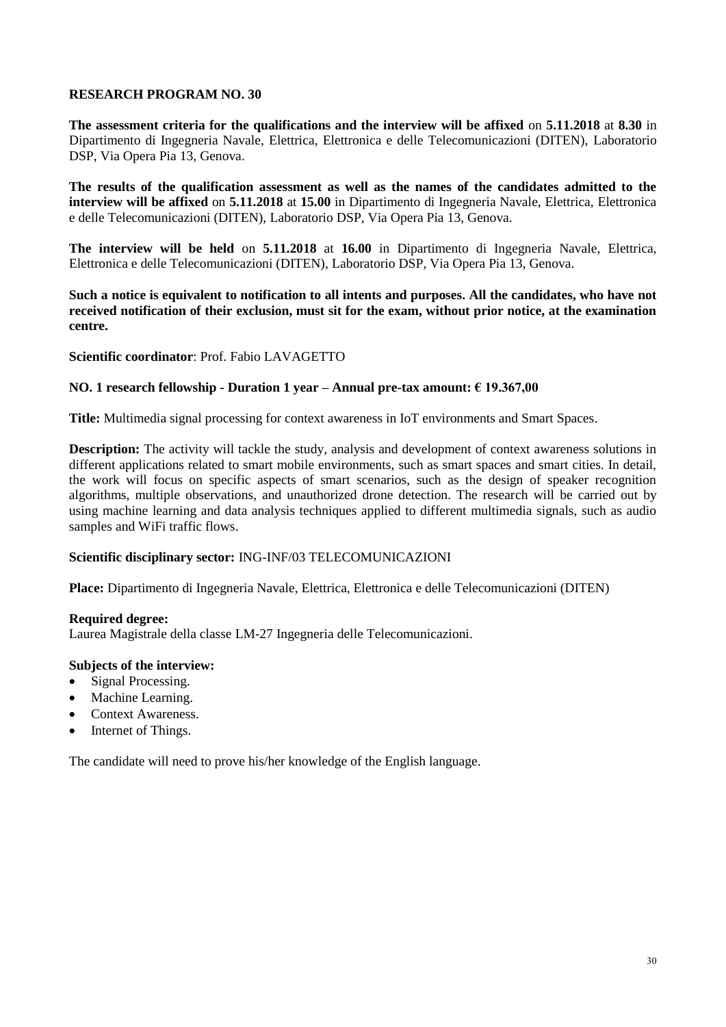**The assessment criteria for the qualifications and the interview will be affixed** on **5.11.2018** at **8.30** in Dipartimento di Ingegneria Navale, Elettrica, Elettronica e delle Telecomunicazioni (DITEN), Laboratorio DSP, Via Opera Pia 13, Genova.

**The results of the qualification assessment as well as the names of the candidates admitted to the interview will be affixed** on **5.11.2018** at **15.00** in Dipartimento di Ingegneria Navale, Elettrica, Elettronica e delle Telecomunicazioni (DITEN), Laboratorio DSP, Via Opera Pia 13, Genova.

**The interview will be held** on **5.11.2018** at **16.00** in Dipartimento di Ingegneria Navale, Elettrica, Elettronica e delle Telecomunicazioni (DITEN), Laboratorio DSP, Via Opera Pia 13, Genova.

**Such a notice is equivalent to notification to all intents and purposes. All the candidates, who have not received notification of their exclusion, must sit for the exam, without prior notice, at the examination centre.**

## **Scientific coordinator**: Prof. Fabio LAVAGETTO

### **NO. 1 research fellowship - Duration 1 year – Annual pre-tax amount: € 19.367,00**

**Title:** Multimedia signal processing for context awareness in IoT environments and Smart Spaces.

**Description:** The activity will tackle the study, analysis and development of context awareness solutions in different applications related to smart mobile environments, such as smart spaces and smart cities. In detail, the work will focus on specific aspects of smart scenarios, such as the design of speaker recognition algorithms, multiple observations, and unauthorized drone detection. The research will be carried out by using machine learning and data analysis techniques applied to different multimedia signals, such as audio samples and WiFi traffic flows.

## **Scientific disciplinary sector:** ING-INF/03 TELECOMUNICAZIONI

**Place:** Dipartimento di Ingegneria Navale, Elettrica, Elettronica e delle Telecomunicazioni (DITEN)

#### **Required degree:**

Laurea Magistrale della classe LM-27 Ingegneria delle Telecomunicazioni.

#### **Subjects of the interview:**

- Signal Processing.
- Machine Learning.
- Context Awareness.
- Internet of Things.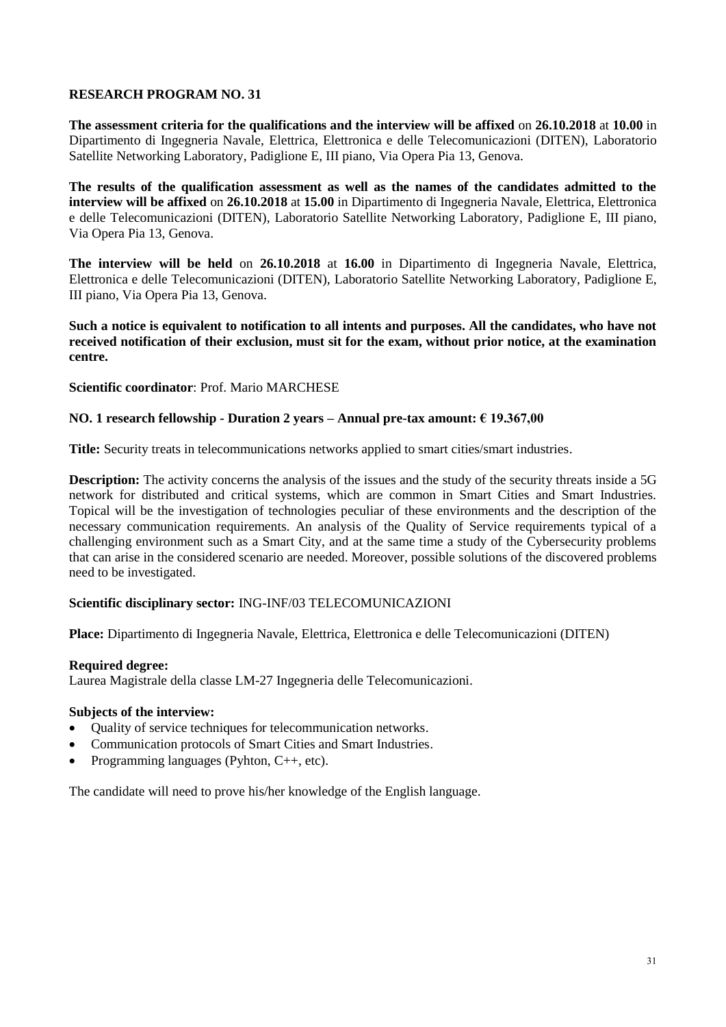**The assessment criteria for the qualifications and the interview will be affixed** on **26.10.2018** at **10.00** in Dipartimento di Ingegneria Navale, Elettrica, Elettronica e delle Telecomunicazioni (DITEN), Laboratorio Satellite Networking Laboratory, Padiglione E, III piano, Via Opera Pia 13, Genova.

**The results of the qualification assessment as well as the names of the candidates admitted to the interview will be affixed** on **26.10.2018** at **15.00** in Dipartimento di Ingegneria Navale, Elettrica, Elettronica e delle Telecomunicazioni (DITEN), Laboratorio Satellite Networking Laboratory, Padiglione E, III piano, Via Opera Pia 13, Genova.

**The interview will be held** on **26.10.2018** at **16.00** in Dipartimento di Ingegneria Navale, Elettrica, Elettronica e delle Telecomunicazioni (DITEN), Laboratorio Satellite Networking Laboratory, Padiglione E, III piano, Via Opera Pia 13, Genova.

**Such a notice is equivalent to notification to all intents and purposes. All the candidates, who have not received notification of their exclusion, must sit for the exam, without prior notice, at the examination centre.**

**Scientific coordinator**: Prof. Mario MARCHESE

## **NO. 1 research fellowship - Duration 2 years – Annual pre-tax amount: € 19.367,00**

**Title:** Security treats in telecommunications networks applied to smart cities/smart industries.

**Description:** The activity concerns the analysis of the issues and the study of the security threats inside a 5G network for distributed and critical systems, which are common in Smart Cities and Smart Industries. Topical will be the investigation of technologies peculiar of these environments and the description of the necessary communication requirements. An analysis of the Quality of Service requirements typical of a challenging environment such as a Smart City, and at the same time a study of the Cybersecurity problems that can arise in the considered scenario are needed. Moreover, possible solutions of the discovered problems need to be investigated.

## **Scientific disciplinary sector:** ING-INF/03 TELECOMUNICAZIONI

**Place:** Dipartimento di Ingegneria Navale, Elettrica, Elettronica e delle Telecomunicazioni (DITEN)

## **Required degree:**

Laurea Magistrale della classe LM-27 Ingegneria delle Telecomunicazioni.

## **Subjects of the interview:**

- Quality of service techniques for telecommunication networks.
- Communication protocols of Smart Cities and Smart Industries.
- Programming languages (Pyhton, C++, etc).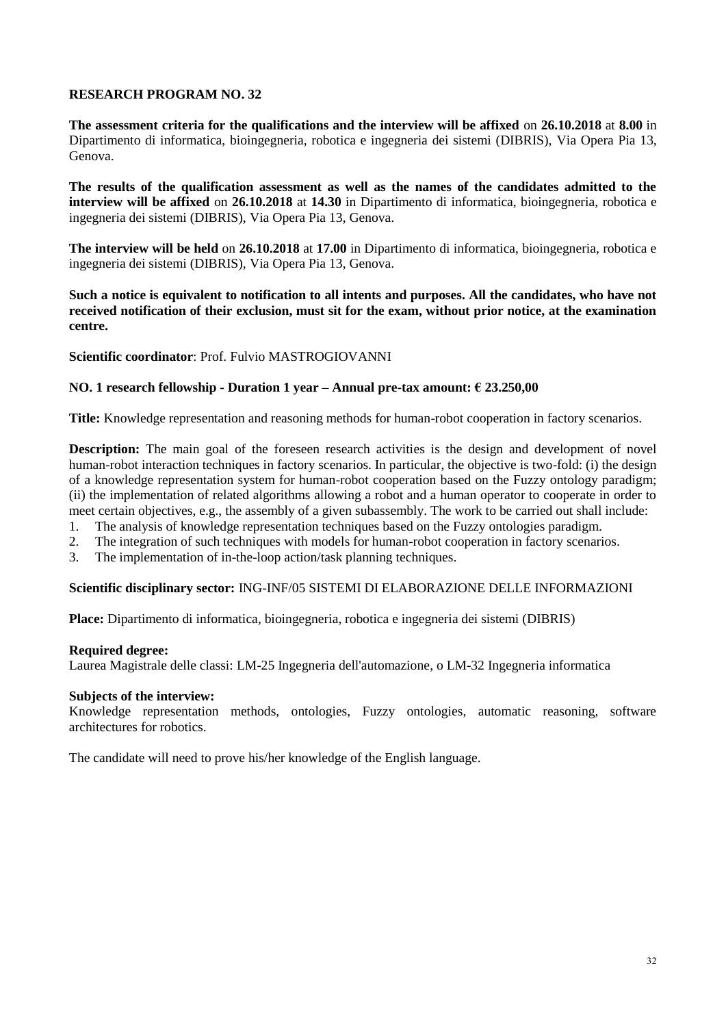**The assessment criteria for the qualifications and the interview will be affixed** on **26.10.2018** at **8.00** in Dipartimento di informatica, bioingegneria, robotica e ingegneria dei sistemi (DIBRIS), Via Opera Pia 13, Genova.

**The results of the qualification assessment as well as the names of the candidates admitted to the interview will be affixed** on **26.10.2018** at **14.30** in Dipartimento di informatica, bioingegneria, robotica e ingegneria dei sistemi (DIBRIS), Via Opera Pia 13, Genova.

**The interview will be held** on **26.10.2018** at **17.00** in Dipartimento di informatica, bioingegneria, robotica e ingegneria dei sistemi (DIBRIS), Via Opera Pia 13, Genova.

**Such a notice is equivalent to notification to all intents and purposes. All the candidates, who have not received notification of their exclusion, must sit for the exam, without prior notice, at the examination centre.**

## **Scientific coordinator**: Prof. Fulvio MASTROGIOVANNI

### **NO. 1 research fellowship - Duration 1 year – Annual pre-tax amount: € 23.250,00**

**Title:** Knowledge representation and reasoning methods for human-robot cooperation in factory scenarios.

**Description:** The main goal of the foreseen research activities is the design and development of novel human-robot interaction techniques in factory scenarios. In particular, the objective is two-fold: (i) the design of a knowledge representation system for human-robot cooperation based on the Fuzzy ontology paradigm; (ii) the implementation of related algorithms allowing a robot and a human operator to cooperate in order to meet certain objectives, e.g., the assembly of a given subassembly. The work to be carried out shall include:

- 1. The analysis of knowledge representation techniques based on the Fuzzy ontologies paradigm.
- 2. The integration of such techniques with models for human-robot cooperation in factory scenarios.
- 3. The implementation of in-the-loop action/task planning techniques.

#### **Scientific disciplinary sector:** ING-INF/05 SISTEMI DI ELABORAZIONE DELLE INFORMAZIONI

**Place:** Dipartimento di informatica, bioingegneria, robotica e ingegneria dei sistemi (DIBRIS)

#### **Required degree:**

Laurea Magistrale delle classi: LM-25 Ingegneria dell'automazione, o LM-32 Ingegneria informatica

#### **Subjects of the interview:**

Knowledge representation methods, ontologies, Fuzzy ontologies, automatic reasoning, software architectures for robotics.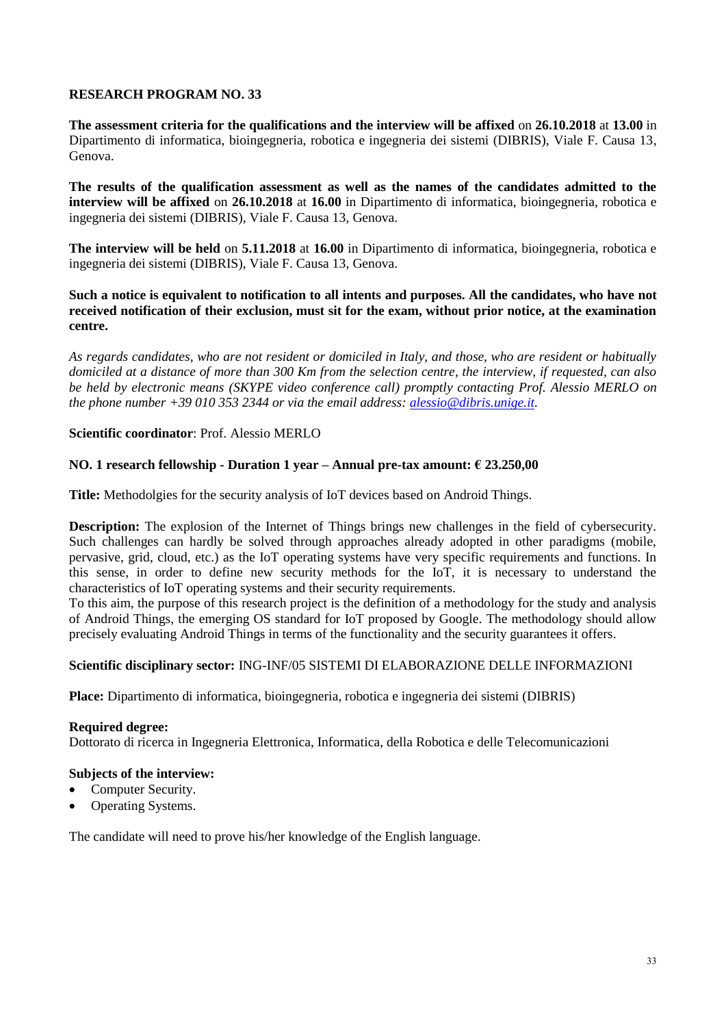**The assessment criteria for the qualifications and the interview will be affixed** on **26.10.2018** at **13.00** in Dipartimento di informatica, bioingegneria, robotica e ingegneria dei sistemi (DIBRIS), Viale F. Causa 13, Genova.

**The results of the qualification assessment as well as the names of the candidates admitted to the interview will be affixed** on **26.10.2018** at **16.00** in Dipartimento di informatica, bioingegneria, robotica e ingegneria dei sistemi (DIBRIS), Viale F. Causa 13, Genova.

**The interview will be held** on **5.11.2018** at **16.00** in Dipartimento di informatica, bioingegneria, robotica e ingegneria dei sistemi (DIBRIS), Viale F. Causa 13, Genova.

## **Such a notice is equivalent to notification to all intents and purposes. All the candidates, who have not received notification of their exclusion, must sit for the exam, without prior notice, at the examination centre.**

*As regards candidates, who are not resident or domiciled in Italy, and those, who are resident or habitually domiciled at a distance of more than 300 Km from the selection centre, the interview, if requested, can also be held by electronic means (SKYPE video conference call) promptly contacting Prof. Alessio MERLO on the phone number +39 010 353 2344 or via the email address: [alessio@dibris.unige.it.](mailto:alessio@dibris.unige.it)*

# **Scientific coordinator**: Prof. Alessio MERLO

# **NO. 1 research fellowship - Duration 1 year – Annual pre-tax amount: € 23.250,00**

**Title:** Methodolgies for the security analysis of IoT devices based on Android Things.

**Description:** The explosion of the Internet of Things brings new challenges in the field of cybersecurity. Such challenges can hardly be solved through approaches already adopted in other paradigms (mobile, pervasive, grid, cloud, etc.) as the IoT operating systems have very specific requirements and functions. In this sense, in order to define new security methods for the IoT, it is necessary to understand the characteristics of IoT operating systems and their security requirements.

To this aim, the purpose of this research project is the definition of a methodology for the study and analysis of Android Things, the emerging OS standard for IoT proposed by Google. The methodology should allow precisely evaluating Android Things in terms of the functionality and the security guarantees it offers.

## **Scientific disciplinary sector:** ING-INF/05 SISTEMI DI ELABORAZIONE DELLE INFORMAZIONI

**Place:** Dipartimento di informatica, bioingegneria, robotica e ingegneria dei sistemi (DIBRIS)

## **Required degree:**

Dottorato di ricerca in Ingegneria Elettronica, Informatica, della Robotica e delle Telecomunicazioni

## **Subjects of the interview:**

- Computer Security.
- Operating Systems.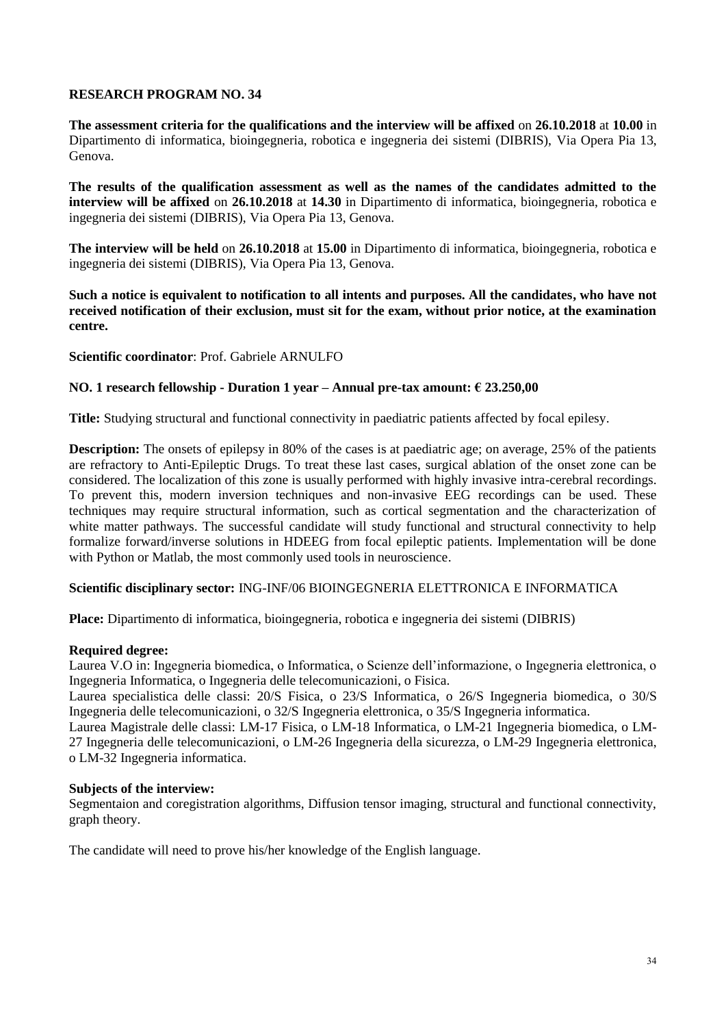**The assessment criteria for the qualifications and the interview will be affixed** on **26.10.2018** at **10.00** in Dipartimento di informatica, bioingegneria, robotica e ingegneria dei sistemi (DIBRIS), Via Opera Pia 13, Genova.

**The results of the qualification assessment as well as the names of the candidates admitted to the interview will be affixed** on **26.10.2018** at **14.30** in Dipartimento di informatica, bioingegneria, robotica e ingegneria dei sistemi (DIBRIS), Via Opera Pia 13, Genova.

**The interview will be held** on **26.10.2018** at **15.00** in Dipartimento di informatica, bioingegneria, robotica e ingegneria dei sistemi (DIBRIS), Via Opera Pia 13, Genova.

**Such a notice is equivalent to notification to all intents and purposes. All the candidates, who have not received notification of their exclusion, must sit for the exam, without prior notice, at the examination centre.**

**Scientific coordinator**: Prof. Gabriele ARNULFO

## **NO. 1 research fellowship - Duration 1 year – Annual pre-tax amount: € 23.250,00**

**Title:** Studying structural and functional connectivity in paediatric patients affected by focal epilesy.

**Description:** The onsets of epilepsy in 80% of the cases is at paediatric age; on average, 25% of the patients are refractory to Anti-Epileptic Drugs. To treat these last cases, surgical ablation of the onset zone can be considered. The localization of this zone is usually performed with highly invasive intra-cerebral recordings. To prevent this, modern inversion techniques and non-invasive EEG recordings can be used. These techniques may require structural information, such as cortical segmentation and the characterization of white matter pathways. The successful candidate will study functional and structural connectivity to help formalize forward/inverse solutions in HDEEG from focal epileptic patients. Implementation will be done with Python or Matlab, the most commonly used tools in neuroscience.

#### **Scientific disciplinary sector:** ING-INF/06 BIOINGEGNERIA ELETTRONICA E INFORMATICA

**Place:** Dipartimento di informatica, bioingegneria, robotica e ingegneria dei sistemi (DIBRIS)

## **Required degree:**

Laurea V.O in: Ingegneria biomedica, o Informatica, o Scienze dell'informazione, o Ingegneria elettronica, o Ingegneria Informatica, o Ingegneria delle telecomunicazioni, o Fisica.

Laurea specialistica delle classi: 20/S Fisica, o 23/S Informatica, o 26/S Ingegneria biomedica, o 30/S Ingegneria delle telecomunicazioni, o 32/S Ingegneria elettronica, o 35/S Ingegneria informatica.

Laurea Magistrale delle classi: LM-17 Fisica, o LM-18 Informatica, o LM-21 Ingegneria biomedica, o LM-27 Ingegneria delle telecomunicazioni, o LM-26 Ingegneria della sicurezza, o LM-29 Ingegneria elettronica, o LM-32 Ingegneria informatica.

#### **Subjects of the interview:**

Segmentaion and coregistration algorithms, Diffusion tensor imaging, structural and functional connectivity, graph theory.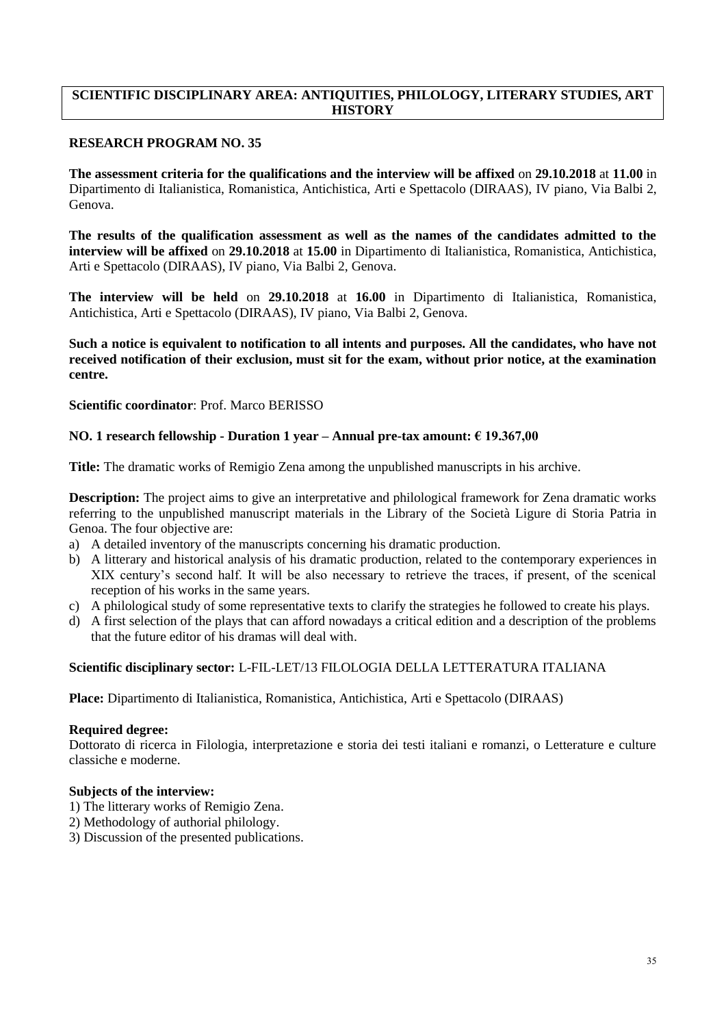# **SCIENTIFIC DISCIPLINARY AREA: ANTIQUITIES, PHILOLOGY, LITERARY STUDIES, ART HISTORY**

## **RESEARCH PROGRAM NO. 35**

**The assessment criteria for the qualifications and the interview will be affixed** on **29.10.2018** at **11.00** in Dipartimento di Italianistica, Romanistica, Antichistica, Arti e Spettacolo (DIRAAS), IV piano, Via Balbi 2, Genova.

**The results of the qualification assessment as well as the names of the candidates admitted to the interview will be affixed** on **29.10.2018** at **15.00** in Dipartimento di Italianistica, Romanistica, Antichistica, Arti e Spettacolo (DIRAAS), IV piano, Via Balbi 2, Genova.

**The interview will be held** on **29.10.2018** at **16.00** in Dipartimento di Italianistica, Romanistica, Antichistica, Arti e Spettacolo (DIRAAS), IV piano, Via Balbi 2, Genova.

## **Such a notice is equivalent to notification to all intents and purposes. All the candidates, who have not received notification of their exclusion, must sit for the exam, without prior notice, at the examination centre.**

**Scientific coordinator**: Prof. Marco BERISSO

## **NO. 1 research fellowship - Duration 1 year – Annual pre-tax amount: € 19.367,00**

**Title:** The dramatic works of Remigio Zena among the unpublished manuscripts in his archive.

**Description:** The project aims to give an interpretative and philological framework for Zena dramatic works referring to the unpublished manuscript materials in the Library of the Società Ligure di Storia Patria in Genoa. The four objective are:

- a) A detailed inventory of the manuscripts concerning his dramatic production.
- b) A litterary and historical analysis of his dramatic production, related to the contemporary experiences in XIX century's second half. It will be also necessary to retrieve the traces, if present, of the scenical reception of his works in the same years.
- c) A philological study of some representative texts to clarify the strategies he followed to create his plays.
- d) A first selection of the plays that can afford nowadays a critical edition and a description of the problems that the future editor of his dramas will deal with.

#### **Scientific disciplinary sector:** L-FIL-LET/13 FILOLOGIA DELLA LETTERATURA ITALIANA

**Place:** Dipartimento di Italianistica, Romanistica, Antichistica, Arti e Spettacolo (DIRAAS)

### **Required degree:**

Dottorato di ricerca in Filologia, interpretazione e storia dei testi italiani e romanzi, o Letterature e culture classiche e moderne.

### **Subjects of the interview:**

- 1) The litterary works of Remigio Zena.
- 2) Methodology of authorial philology.
- 3) Discussion of the presented publications.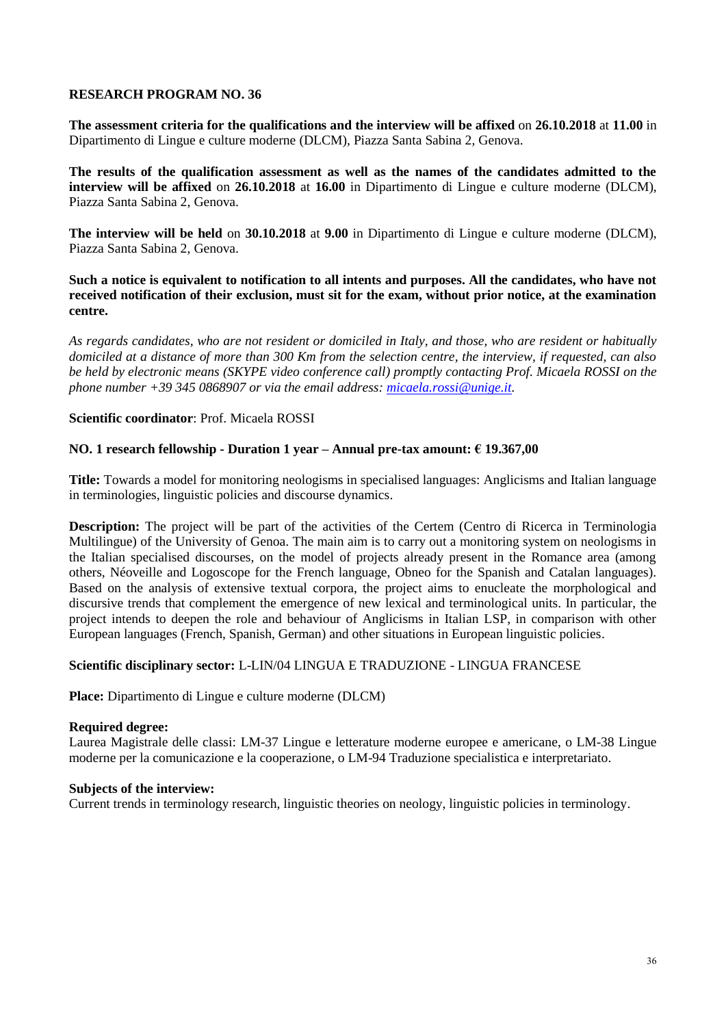**The assessment criteria for the qualifications and the interview will be affixed** on **26.10.2018** at **11.00** in Dipartimento di Lingue e culture moderne (DLCM), Piazza Santa Sabina 2, Genova.

**The results of the qualification assessment as well as the names of the candidates admitted to the interview will be affixed** on **26.10.2018** at **16.00** in Dipartimento di Lingue e culture moderne (DLCM), Piazza Santa Sabina 2, Genova.

**The interview will be held** on **30.10.2018** at **9.00** in Dipartimento di Lingue e culture moderne (DLCM), Piazza Santa Sabina 2, Genova.

**Such a notice is equivalent to notification to all intents and purposes. All the candidates, who have not received notification of their exclusion, must sit for the exam, without prior notice, at the examination centre.**

*As regards candidates, who are not resident or domiciled in Italy, and those, who are resident or habitually domiciled at a distance of more than 300 Km from the selection centre, the interview, if requested, can also be held by electronic means (SKYPE video conference call) promptly contacting Prof. Micaela ROSSI on the phone number +39 345 0868907 or via the email address: [micaela.rossi@unige.it.](mailto:micaela.rossi@unige.it)*

### **Scientific coordinator**: Prof. Micaela ROSSI

### **NO. 1 research fellowship - Duration 1 year – Annual pre-tax amount: € 19.367,00**

**Title:** Towards a model for monitoring neologisms in specialised languages: Anglicisms and Italian language in terminologies, linguistic policies and discourse dynamics.

**Description:** The project will be part of the activities of the Certem (Centro di Ricerca in Terminologia Multilingue) of the University of Genoa. The main aim is to carry out a monitoring system on neologisms in the Italian specialised discourses, on the model of projects already present in the Romance area (among others, Néoveille and Logoscope for the French language, Obneo for the Spanish and Catalan languages). Based on the analysis of extensive textual corpora, the project aims to enucleate the morphological and discursive trends that complement the emergence of new lexical and terminological units. In particular, the project intends to deepen the role and behaviour of Anglicisms in Italian LSP, in comparison with other European languages (French, Spanish, German) and other situations in European linguistic policies.

### **Scientific disciplinary sector:** L-LIN/04 LINGUA E TRADUZIONE - LINGUA FRANCESE

**Place:** Dipartimento di Lingue e culture moderne (DLCM)

### **Required degree:**

Laurea Magistrale delle classi: LM-37 Lingue e letterature moderne europee e americane, o LM-38 Lingue moderne per la comunicazione e la cooperazione, o LM-94 Traduzione specialistica e interpretariato.

#### **Subjects of the interview:**

Current trends in terminology research, linguistic theories on neology, linguistic policies in terminology.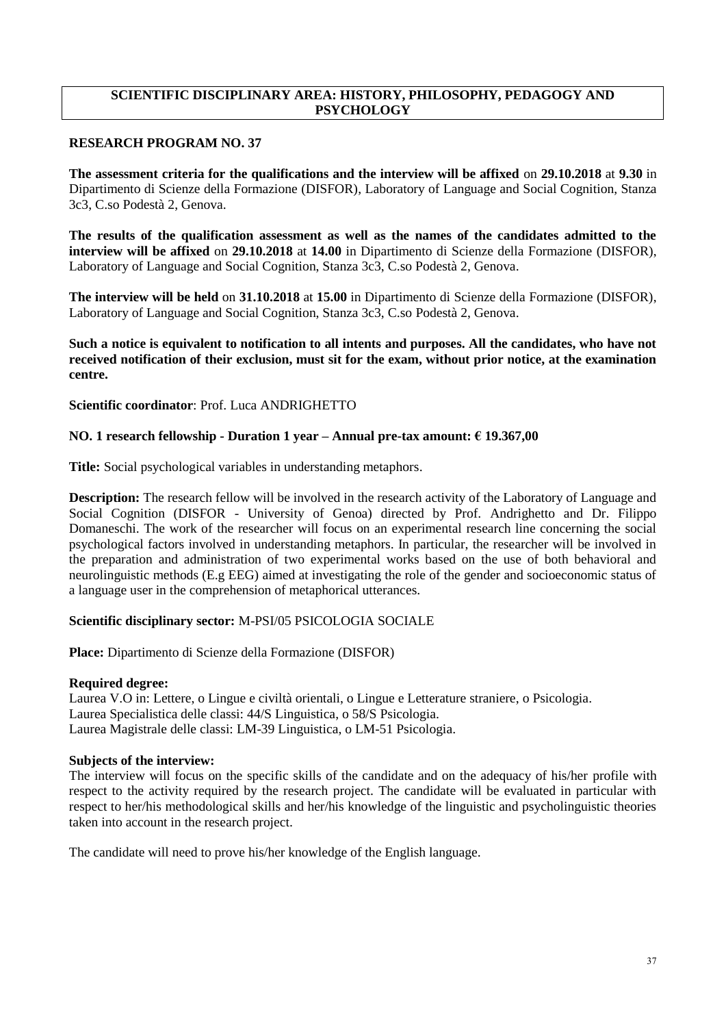# **SCIENTIFIC DISCIPLINARY AREA: HISTORY, PHILOSOPHY, PEDAGOGY AND PSYCHOLOGY**

## **RESEARCH PROGRAM NO. 37**

**The assessment criteria for the qualifications and the interview will be affixed** on **29.10.2018** at **9.30** in Dipartimento di Scienze della Formazione (DISFOR), Laboratory of Language and Social Cognition, Stanza 3c3, C.so Podestà 2, Genova.

**The results of the qualification assessment as well as the names of the candidates admitted to the interview will be affixed** on **29.10.2018** at **14.00** in Dipartimento di Scienze della Formazione (DISFOR), Laboratory of Language and Social Cognition, Stanza 3c3, C.so Podestà 2, Genova.

**The interview will be held** on **31.10.2018** at **15.00** in Dipartimento di Scienze della Formazione (DISFOR), Laboratory of Language and Social Cognition, Stanza 3c3, C.so Podestà 2, Genova.

**Such a notice is equivalent to notification to all intents and purposes. All the candidates, who have not received notification of their exclusion, must sit for the exam, without prior notice, at the examination centre.**

**Scientific coordinator**: Prof. Luca ANDRIGHETTO

# **NO. 1 research fellowship - Duration 1 year – Annual pre-tax amount: € 19.367,00**

**Title:** Social psychological variables in understanding metaphors.

**Description:** The research fellow will be involved in the research activity of the Laboratory of Language and Social Cognition (DISFOR - University of Genoa) directed by Prof. Andrighetto and Dr. Filippo Domaneschi. The work of the researcher will focus on an experimental research line concerning the social psychological factors involved in understanding metaphors. In particular, the researcher will be involved in the preparation and administration of two experimental works based on the use of both behavioral and neurolinguistic methods (E.g EEG) aimed at investigating the role of the gender and socioeconomic status of a language user in the comprehension of metaphorical utterances.

## **Scientific disciplinary sector:** M-PSI/05 PSICOLOGIA SOCIALE

**Place:** Dipartimento di Scienze della Formazione (DISFOR)

## **Required degree:**

Laurea V.O in: Lettere, o Lingue e civiltà orientali, o Lingue e Letterature straniere, o Psicologia. Laurea Specialistica delle classi: 44/S Linguistica, o 58/S Psicologia. Laurea Magistrale delle classi: LM-39 Linguistica, o LM-51 Psicologia.

## **Subjects of the interview:**

The interview will focus on the specific skills of the candidate and on the adequacy of his/her profile with respect to the activity required by the research project. The candidate will be evaluated in particular with respect to her/his methodological skills and her/his knowledge of the linguistic and psycholinguistic theories taken into account in the research project.